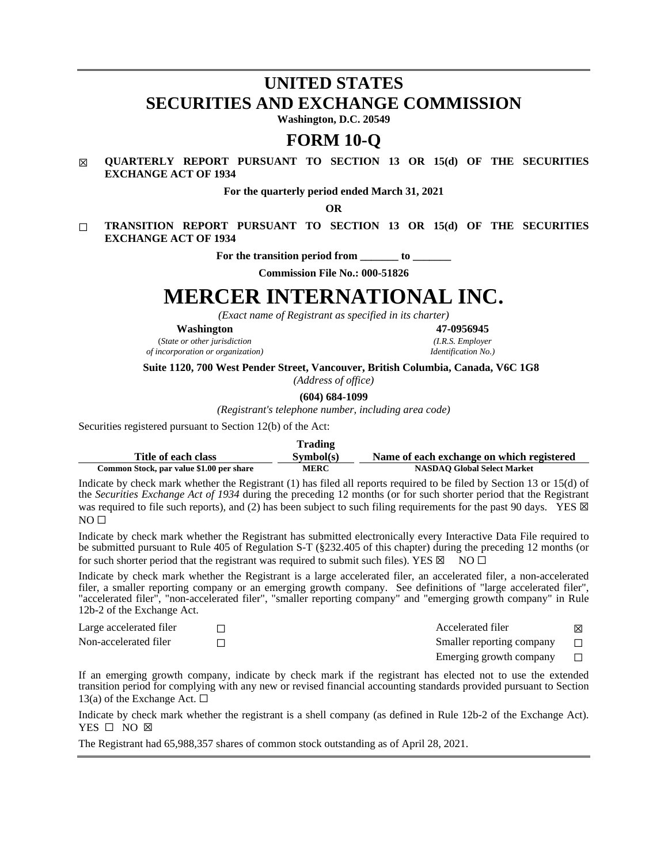## **UNITED STATES SECURITIES AND EXCHANGE COMMISSION**

**Washington, D.C. 20549**

### **FORM 10-Q**

#### ☒ **QUARTERLY REPORT PURSUANT TO SECTION 13 OR 15(d) OF THE SECURITIES EXCHANGE ACT OF 1934**

**For the quarterly period ended March 31, 2021**

**OR**

☐ **TRANSITION REPORT PURSUANT TO SECTION 13 OR 15(d) OF THE SECURITIES EXCHANGE ACT OF 1934**

For the transition period from to

**Commission File No.: 000-51826**

# **MERCER INTERNATIONAL INC.**

*(Exact name of Registrant as specified in its charter)*

**Washington 47-0956945**

(*State or other jurisdiction (I.R.S. Employer*  $of incorporation$  *or organization*)

**Suite 1120, 700 West Pender Street, Vancouver, British Columbia, Canada, V6C 1G8**

*(Address of office)*

**(604) 684-1099**

*(Registrant's telephone number, including area code)*

Securities registered pursuant to Section 12(b) of the Act:

|                                          | <b>Trading</b> |                                           |
|------------------------------------------|----------------|-------------------------------------------|
| Title of each class                      | Sumbol(s)      | Name of each exchange on which registered |
| Common Stock, par value \$1.00 per share | <b>MERC</b>    | <b>NASDAO Global Select Market</b>        |

Indicate by check mark whether the Registrant (1) has filed all reports required to be filed by Section 13 or 15(d) of the *Securities Exchange Act of 1934* during the preceding 12 months (or for such shorter period that the Registrant was required to file such reports), and (2) has been subject to such filing requirements for the past 90 days. YES  $\boxtimes$  $NO<sub>II</sub>$ 

Indicate by check mark whether the Registrant has submitted electronically every Interactive Data File required to be submitted pursuant to Rule 405 of Regulation S-T (§232.405 of this chapter) during the preceding 12 months (or for such shorter period that the registrant was required to submit such files). YES  $\boxtimes$  NO  $\Box$ 

Indicate by check mark whether the Registrant is a large accelerated filer, an accelerated filer, a non-accelerated filer, a smaller reporting company or an emerging growth company. See definitions of "large accelerated filer", "accelerated filer", "non-accelerated filer", "smaller reporting company" and "emerging growth company" in Rule 12b-2 of the Exchange Act.

| Large accelerated filer | Accelerated filer                 | ⊠      |
|-------------------------|-----------------------------------|--------|
| Non-accelerated filer   | Smaller reporting company         | $\Box$ |
|                         | Emerging growth company $\square$ |        |

If an emerging growth company, indicate by check mark if the registrant has elected not to use the extended transition period for complying with any new or revised financial accounting standards provided pursuant to Section 13(a) of the Exchange Act.  $\Box$ 

Indicate by check mark whether the registrant is a shell company (as defined in Rule 12b-2 of the Exchange Act). YES □ NO ⊠

The Registrant had 65,988,357 shares of common stock outstanding as of April 28, 2021.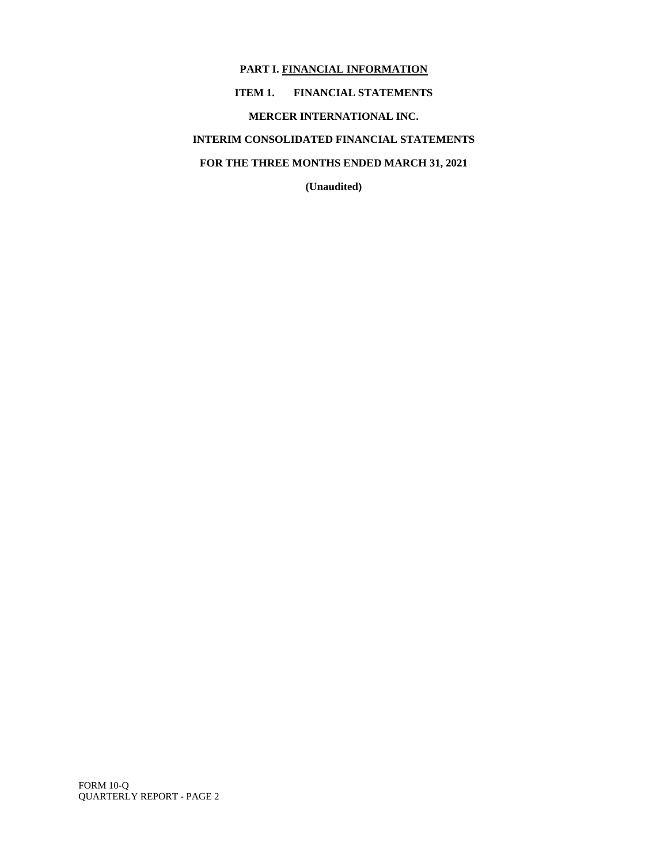# **PART I. FINANCIAL INFORMATION ITEM 1. FINANCIAL STATEMENTS MERCER INTERNATIONAL INC. INTERIM CONSOLIDATED FINANCIAL STATEMENTS FOR THE THREE MONTHS ENDED MARCH 31, 2021**

**(Unaudited)**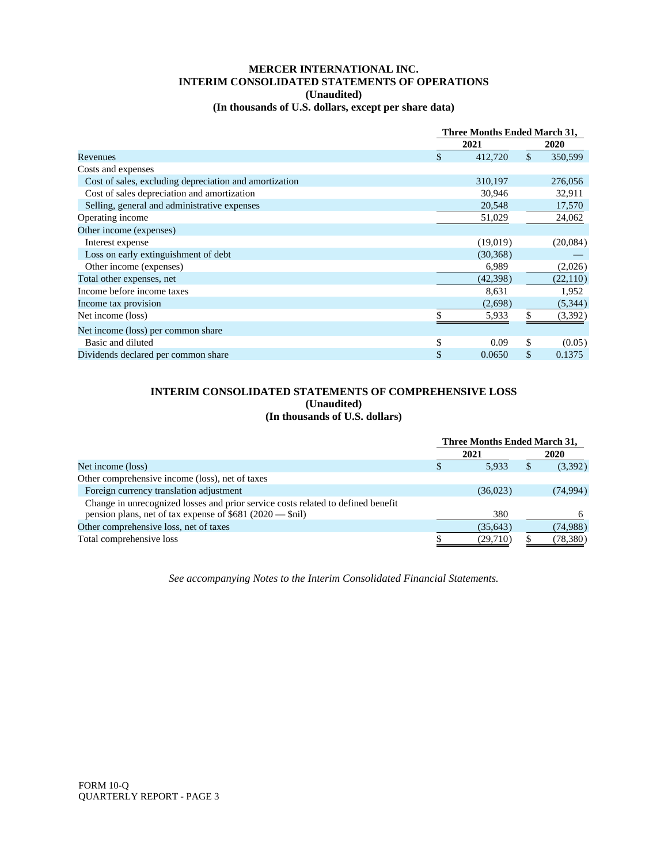#### **MERCER INTERNATIONAL INC. INTERIM CONSOLIDATED STATEMENTS OF OPERATIONS (Unaudited) (In thousands of U.S. dollars, except per share data)**

|                                                        |              | Three Months Ended March 31, |               |          |  |
|--------------------------------------------------------|--------------|------------------------------|---------------|----------|--|
|                                                        |              | 2021                         |               | 2020     |  |
| Revenues                                               | $\mathbf{s}$ | 412,720                      | $\mathcal{S}$ | 350,599  |  |
| Costs and expenses                                     |              |                              |               |          |  |
| Cost of sales, excluding depreciation and amortization |              | 310,197                      |               | 276,056  |  |
| Cost of sales depreciation and amortization            |              | 30,946                       |               | 32,911   |  |
| Selling, general and administrative expenses           |              | 20,548                       |               | 17,570   |  |
| Operating income                                       |              | 51,029                       |               | 24,062   |  |
| Other income (expenses)                                |              |                              |               |          |  |
| Interest expense                                       |              | (19,019)                     |               | (20,084) |  |
| Loss on early extinguishment of debt                   |              | (30, 368)                    |               |          |  |
| Other income (expenses)                                |              | 6,989                        |               | (2,026)  |  |
| Total other expenses, net                              |              | (42, 398)                    |               | (22,110) |  |
| Income before income taxes                             |              | 8,631                        |               | 1,952    |  |
| Income tax provision                                   |              | (2,698)                      |               | (5, 344) |  |
| Net income (loss)                                      |              | 5,933                        | \$            | (3,392)  |  |
| Net income (loss) per common share                     |              |                              |               |          |  |
| Basic and diluted                                      | \$           | 0.09                         | \$            | (0.05)   |  |
| Dividends declared per common share                    | \$           | 0.0650                       | \$            | 0.1375   |  |

#### **INTERIM CONSOLIDATED STATEMENTS OF COMPREHENSIVE LOSS (Unaudited) (In thousands of U.S. dollars)**

|                                                                                  | <b>Three Months Ended March 31,</b> |           |  |           |
|----------------------------------------------------------------------------------|-------------------------------------|-----------|--|-----------|
|                                                                                  |                                     | 2021      |  | 2020      |
| Net income (loss)                                                                |                                     | 5.933     |  | (3,392)   |
| Other comprehensive income (loss), net of taxes                                  |                                     |           |  |           |
| Foreign currency translation adjustment                                          |                                     | (36,023)  |  | (74,994)  |
| Change in unrecognized losses and prior service costs related to defined benefit |                                     |           |  |           |
| pension plans, net of tax expense of $$681 (2020 - $nil)$                        |                                     | 380       |  |           |
| Other comprehensive loss, net of taxes                                           |                                     | (35, 643) |  | (74, 988) |
| Total comprehensive loss                                                         |                                     | (29,710)  |  | (78, 380) |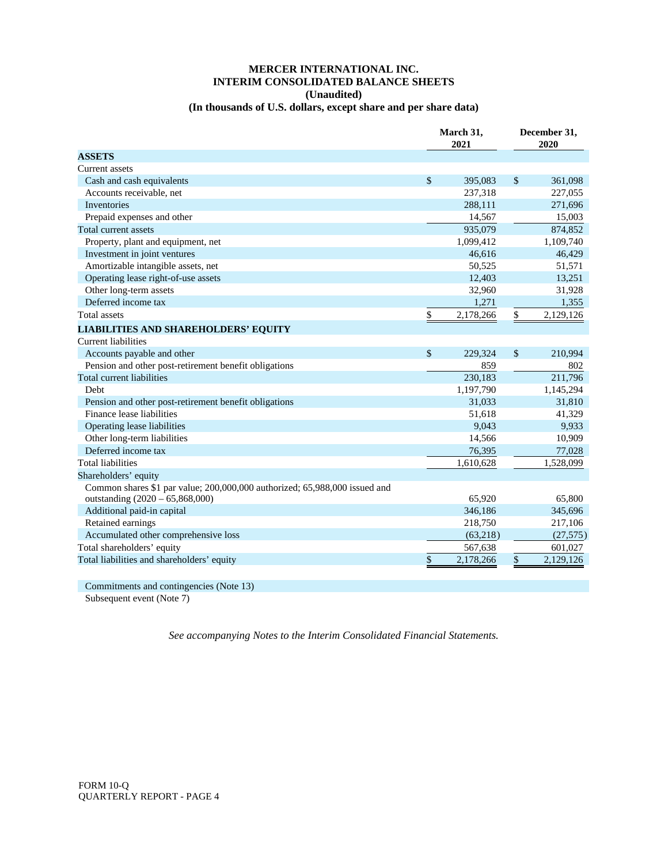### **MERCER INTERNATIONAL INC. INTERIM CONSOLIDATED BALANCE SHEETS (Unaudited)**

#### **(In thousands of U.S. dollars, except share and per share data)**

|                                                                            | March 31,<br>2021 |              | December 31,<br>2020 |
|----------------------------------------------------------------------------|-------------------|--------------|----------------------|
| <b>ASSETS</b>                                                              |                   |              |                      |
| Current assets                                                             |                   |              |                      |
| Cash and cash equivalents                                                  | \$<br>395,083     | \$           | 361,098              |
| Accounts receivable, net                                                   | 237,318           |              | 227,055              |
| Inventories                                                                | 288,111           |              | 271,696              |
| Prepaid expenses and other                                                 | 14,567            |              | 15,003               |
| Total current assets                                                       | 935,079           |              | 874,852              |
| Property, plant and equipment, net                                         | 1,099,412         |              | 1,109,740            |
| Investment in joint ventures                                               | 46,616            |              | 46,429               |
| Amortizable intangible assets, net                                         | 50,525            |              | 51,571               |
| Operating lease right-of-use assets                                        | 12,403            |              | 13,251               |
| Other long-term assets                                                     | 32,960            |              | 31,928               |
| Deferred income tax                                                        | 1,271             |              | 1,355                |
| <b>Total assets</b>                                                        | \$<br>2,178,266   | $\mathbb{S}$ | 2,129,126            |
| <b>LIABILITIES AND SHAREHOLDERS' EQUITY</b>                                |                   |              |                      |
| <b>Current liabilities</b>                                                 |                   |              |                      |
| Accounts payable and other                                                 | \$<br>229,324     | $\mathbb{S}$ | 210,994              |
| Pension and other post-retirement benefit obligations                      | 859               |              | 802                  |
| Total current liabilities                                                  | 230,183           |              | 211,796              |
| Debt                                                                       | 1,197,790         |              | 1,145,294            |
| Pension and other post-retirement benefit obligations                      | 31,033            |              | 31,810               |
| Finance lease liabilities                                                  | 51,618            |              | 41,329               |
| Operating lease liabilities                                                | 9,043             |              | 9,933                |
| Other long-term liabilities                                                | 14,566            |              | 10,909               |
| Deferred income tax                                                        | 76,395            |              | 77,028               |
| <b>Total liabilities</b>                                                   | 1,610,628         |              | 1,528,099            |
| Shareholders' equity                                                       |                   |              |                      |
| Common shares \$1 par value; 200,000,000 authorized; 65,988,000 issued and |                   |              |                      |
| outstanding (2020 - 65,868,000)                                            | 65,920            |              | 65,800               |
| Additional paid-in capital                                                 | 346,186           |              | 345,696              |
| Retained earnings                                                          | 218,750           |              | 217,106              |
| Accumulated other comprehensive loss                                       | (63,218)          |              | (27, 575)            |
| Total shareholders' equity                                                 | 567,638           |              | 601,027              |
| Total liabilities and shareholders' equity                                 | \$<br>2,178,266   | \$           | 2,129,126            |

Commitments and contingencies (Note 13)

Subsequent event (Note 7)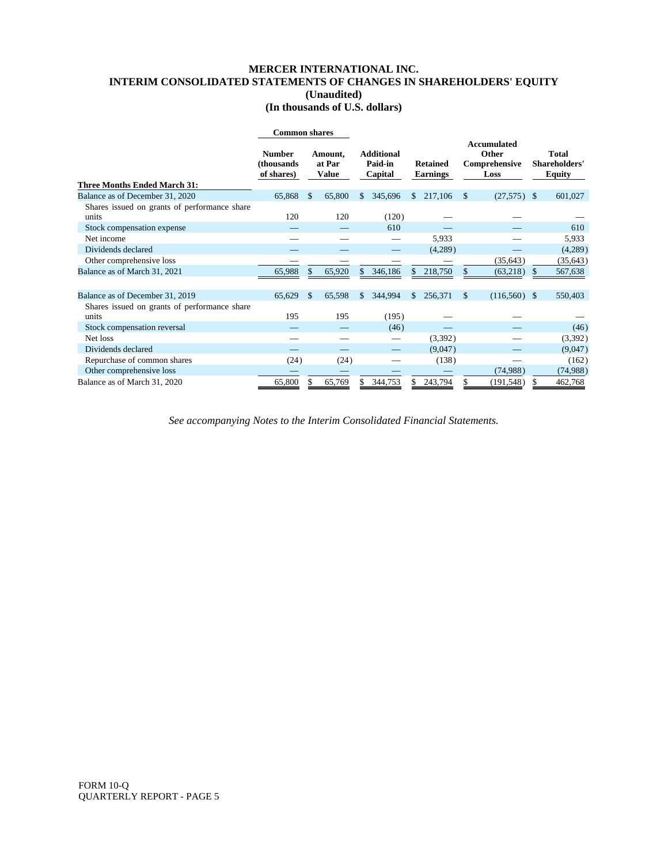#### **MERCER INTERNATIONAL INC. INTERIM CONSOLIDATED STATEMENTS OF CHANGES IN SHAREHOLDERS' EQUITY (Unaudited) (In thousands of U.S. dollars)**

|                                                       | <b>Common shares</b>                      |               |                            |                                         |     |                                    |               |                                                      |                                                |
|-------------------------------------------------------|-------------------------------------------|---------------|----------------------------|-----------------------------------------|-----|------------------------------------|---------------|------------------------------------------------------|------------------------------------------------|
| <b>Three Months Ended March 31:</b>                   | <b>Number</b><br>(thousands<br>of shares) |               | Amount.<br>at Par<br>Value | <b>Additional</b><br>Paid-in<br>Capital |     | <b>Retained</b><br><b>Earnings</b> |               | <b>Accumulated</b><br>Other<br>Comprehensive<br>Loss | <b>Total</b><br>Shareholders'<br><b>Equity</b> |
| Balance as of December 31, 2020                       | 65,868                                    | <sup>\$</sup> | 65,800                     | \$<br>345,696                           | \$. | 217,106                            | <sup>\$</sup> | $(27,575)$ \$                                        | 601,027                                        |
| Shares issued on grants of performance share<br>units | 120                                       |               | 120                        | (120)                                   |     |                                    |               |                                                      |                                                |
| Stock compensation expense                            |                                           |               |                            | 610                                     |     |                                    |               |                                                      | 610                                            |
| Net income                                            |                                           |               |                            |                                         |     | 5,933                              |               |                                                      | 5,933                                          |
| Dividends declared                                    |                                           |               |                            |                                         |     | (4,289)                            |               |                                                      | (4,289)                                        |
| Other comprehensive loss                              |                                           |               |                            |                                         |     |                                    |               | (35, 643)                                            | (35, 643)                                      |
| Balance as of March 31, 2021                          | 65,988                                    | \$            | 65,920                     | \$<br>346,186                           | \$. | 218,750                            |               | (63,218)                                             | 567,638                                        |
| Balance as of December 31, 2019                       | 65,629                                    | <sup>\$</sup> | 65,598                     | \$<br>344,994                           | \$. | 256,371                            | <sup>\$</sup> | $(116,560)$ \$                                       | 550,403                                        |
| Shares issued on grants of performance share<br>units | 195                                       |               | 195                        | (195)                                   |     |                                    |               |                                                      |                                                |
| Stock compensation reversal                           |                                           |               |                            | (46)                                    |     |                                    |               |                                                      | (46)                                           |
| Net loss                                              |                                           |               |                            |                                         |     | (3,392)                            |               |                                                      | (3,392)                                        |
| Dividends declared                                    |                                           |               |                            |                                         |     | (9,047)                            |               |                                                      | (9,047)                                        |
| Repurchase of common shares                           | (24)                                      |               | (24)                       |                                         |     | (138)                              |               |                                                      | (162)                                          |
| Other comprehensive loss                              |                                           |               |                            |                                         |     |                                    |               | (74,988)                                             | (74,988)                                       |
| Balance as of March 31, 2020                          | 65,800                                    | S             | 65,769                     | 344.753                                 |     | 243.794                            |               | (191, 548)                                           | 462,768                                        |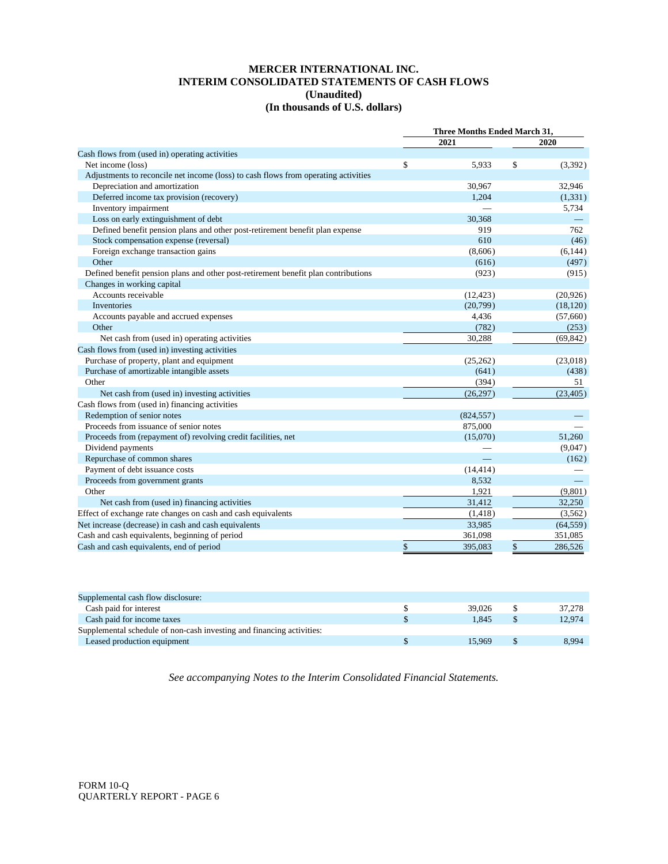#### **MERCER INTERNATIONAL INC. INTERIM CONSOLIDATED STATEMENTS OF CASH FLOWS (Unaudited) (In thousands of U.S. dollars)**

|                                                                                    | Three Months Ended March 31, |                         |  |  |
|------------------------------------------------------------------------------------|------------------------------|-------------------------|--|--|
|                                                                                    | 2021                         | 2020                    |  |  |
| Cash flows from (used in) operating activities                                     |                              |                         |  |  |
| Net income (loss)                                                                  | \$<br>5,933                  | $\mathbb{S}$<br>(3,392) |  |  |
| Adjustments to reconcile net income (loss) to cash flows from operating activities |                              |                         |  |  |
| Depreciation and amortization                                                      | 30,967                       | 32.946                  |  |  |
| Deferred income tax provision (recovery)                                           | 1,204                        | (1, 331)                |  |  |
| Inventory impairment                                                               |                              | 5,734                   |  |  |
| Loss on early extinguishment of debt                                               | 30.368                       |                         |  |  |
| Defined benefit pension plans and other post-retirement benefit plan expense       | 919                          | 762                     |  |  |
| Stock compensation expense (reversal)                                              | 610                          | (46)                    |  |  |
| Foreign exchange transaction gains                                                 | (8,606)                      | (6,144)                 |  |  |
| Other                                                                              | (616)                        | (497)                   |  |  |
| Defined benefit pension plans and other post-retirement benefit plan contributions | (923)                        | (915)                   |  |  |
| Changes in working capital                                                         |                              |                         |  |  |
| Accounts receivable                                                                | (12, 423)                    | (20,926)                |  |  |
| Inventories                                                                        | (20,799)                     | (18, 120)               |  |  |
| Accounts payable and accrued expenses                                              | 4,436                        | (57,660)                |  |  |
| Other                                                                              | (782)                        | (253)                   |  |  |
| Net cash from (used in) operating activities                                       | 30,288                       | (69, 842)               |  |  |
| Cash flows from (used in) investing activities                                     |                              |                         |  |  |
| Purchase of property, plant and equipment                                          | (25,262)                     | (23,018)                |  |  |
| Purchase of amortizable intangible assets                                          | (641)                        | (438)                   |  |  |
| Other                                                                              | (394)                        | 51                      |  |  |
| Net cash from (used in) investing activities                                       | (26, 297)                    | (23, 405)               |  |  |
| Cash flows from (used in) financing activities                                     |                              |                         |  |  |
| Redemption of senior notes                                                         | (824, 557)                   |                         |  |  |
| Proceeds from issuance of senior notes                                             | 875,000                      |                         |  |  |
| Proceeds from (repayment of) revolving credit facilities, net                      | (15,070)                     | 51,260                  |  |  |
| Dividend payments                                                                  |                              | (9,047)                 |  |  |
| Repurchase of common shares                                                        |                              | (162)                   |  |  |
| Payment of debt issuance costs                                                     | (14, 414)                    |                         |  |  |
| Proceeds from government grants                                                    | 8,532                        |                         |  |  |
| Other                                                                              | 1,921                        | (9,801)                 |  |  |
| Net cash from (used in) financing activities                                       | 31,412                       | 32,250                  |  |  |
| Effect of exchange rate changes on cash and cash equivalents                       | (1, 418)                     | (3,562)                 |  |  |
| Net increase (decrease) in cash and cash equivalents                               | 33,985                       | (64, 559)               |  |  |
| Cash and cash equivalents, beginning of period                                     | 361,098                      | 351,085                 |  |  |
| Cash and cash equivalents, end of period                                           | \$<br>395,083                | \$<br>286,526           |  |  |

| Supplemental cash flow disclosure:                                    |        |        |
|-----------------------------------------------------------------------|--------|--------|
| Cash paid for interest                                                | 39.026 | 37,278 |
| Cash paid for income taxes                                            | 1.845  | 12.974 |
| Supplemental schedule of non-cash investing and financing activities: |        |        |
| Leased production equipment                                           | 15.969 | 8.994  |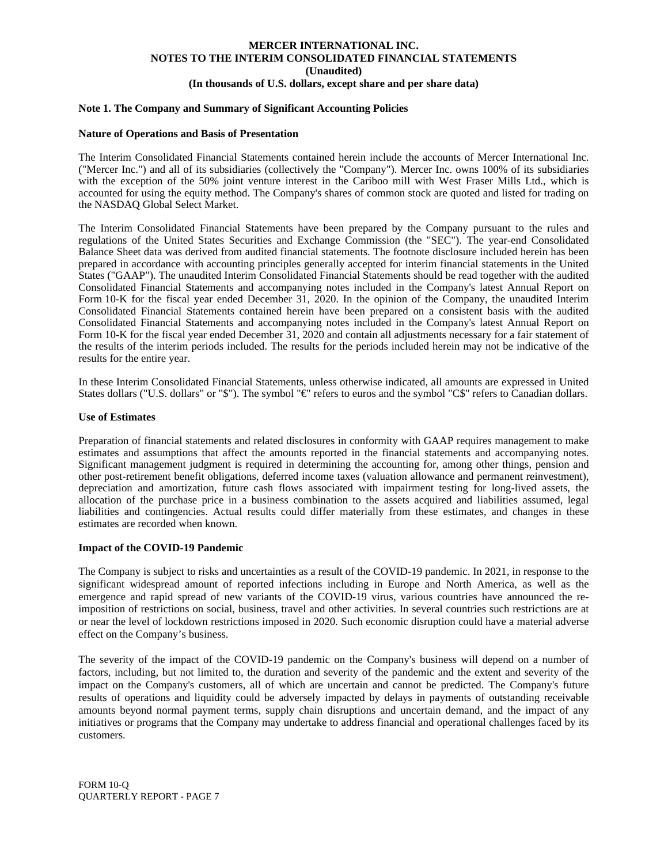#### **Note 1. The Company and Summary of Significant Accounting Policies**

#### **Nature of Operations and Basis of Presentation**

The Interim Consolidated Financial Statements contained herein include the accounts of Mercer International Inc. ("Mercer Inc.") and all of its subsidiaries (collectively the "Company"). Mercer Inc. owns 100% of its subsidiaries with the exception of the 50% joint venture interest in the Cariboo mill with West Fraser Mills Ltd., which is accounted for using the equity method. The Company's shares of common stock are quoted and listed for trading on the NASDAQ Global Select Market.

The Interim Consolidated Financial Statements have been prepared by the Company pursuant to the rules and regulations of the United States Securities and Exchange Commission (the "SEC"). The year-end Consolidated Balance Sheet data was derived from audited financial statements. The footnote disclosure included herein has been prepared in accordance with accounting principles generally accepted for interim financial statements in the United States ("GAAP"). The unaudited Interim Consolidated Financial Statements should be read together with the audited Consolidated Financial Statements and accompanying notes included in the Company's latest Annual Report on Form 10-K for the fiscal year ended December 31, 2020. In the opinion of the Company, the unaudited Interim Consolidated Financial Statements contained herein have been prepared on a consistent basis with the audited Consolidated Financial Statements and accompanying notes included in the Company's latest Annual Report on Form 10-K for the fiscal year ended December 31, 2020 and contain all adjustments necessary for a fair statement of the results of the interim periods included. The results for the periods included herein may not be indicative of the results for the entire year.

In these Interim Consolidated Financial Statements, unless otherwise indicated, all amounts are expressed in United States dollars ("U.S. dollars" or "\$"). The symbol "€" refers to euros and the symbol "C\$" refers to Canadian dollars.

#### **Use of Estimates**

Preparation of financial statements and related disclosures in conformity with GAAP requires management to make estimates and assumptions that affect the amounts reported in the financial statements and accompanying notes. Significant management judgment is required in determining the accounting for, among other things, pension and other post-retirement benefit obligations, deferred income taxes (valuation allowance and permanent reinvestment), depreciation and amortization, future cash flows associated with impairment testing for long-lived assets, the allocation of the purchase price in a business combination to the assets acquired and liabilities assumed, legal liabilities and contingencies. Actual results could differ materially from these estimates, and changes in these estimates are recorded when known.

#### **Impact of the COVID-19 Pandemic**

The Company is subject to risks and uncertainties as a result of the COVID-19 pandemic. In 2021, in response to the significant widespread amount of reported infections including in Europe and North America, as well as the emergence and rapid spread of new variants of the COVID-19 virus, various countries have announced the reimposition of restrictions on social, business, travel and other activities. In several countries such restrictions are at or near the level of lockdown restrictions imposed in 2020. Such economic disruption could have a material adverse effect on the Company's business.

The severity of the impact of the COVID-19 pandemic on the Company's business will depend on a number of factors, including, but not limited to, the duration and severity of the pandemic and the extent and severity of the impact on the Company's customers, all of which are uncertain and cannot be predicted. The Company's future results of operations and liquidity could be adversely impacted by delays in payments of outstanding receivable amounts beyond normal payment terms, supply chain disruptions and uncertain demand, and the impact of any initiatives or programs that the Company may undertake to address financial and operational challenges faced by its customers.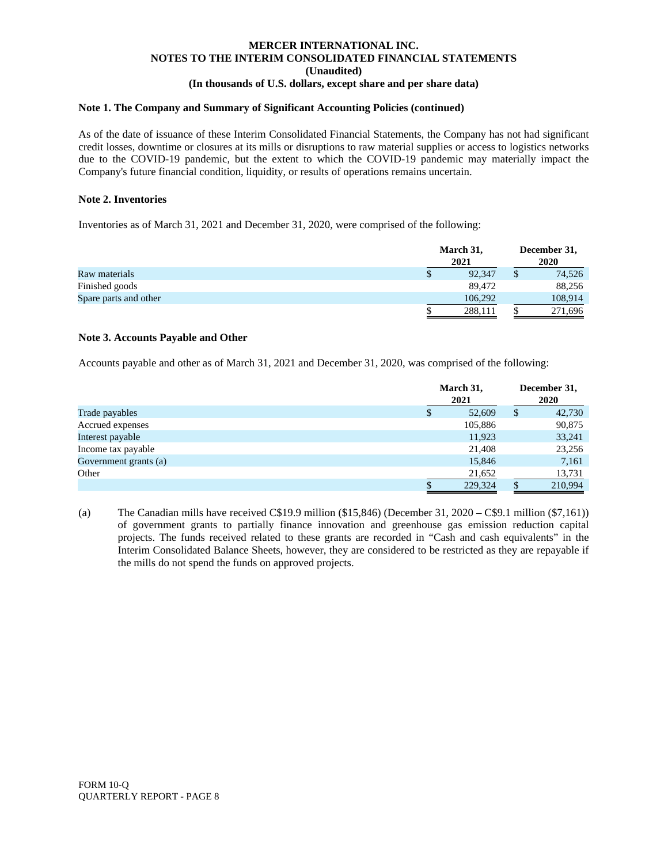#### **Note 1. The Company and Summary of Significant Accounting Policies (continued)**

As of the date of issuance of these Interim Consolidated Financial Statements, the Company has not had significant credit losses, downtime or closures at its mills or disruptions to raw material supplies or access to logistics networks due to the COVID-19 pandemic, but the extent to which the COVID-19 pandemic may materially impact the Company's future financial condition, liquidity, or results of operations remains uncertain.

#### **Note 2. Inventories**

Inventories as of March 31, 2021 and December 31, 2020, were comprised of the following:

|                       |   | March 31,<br>2021 | December 31,<br>2020 |         |  |
|-----------------------|---|-------------------|----------------------|---------|--|
| Raw materials         | S | 92.347            | S                    | 74,526  |  |
| Finished goods        |   | 89.472            |                      | 88,256  |  |
| Spare parts and other |   | 106.292           |                      | 108,914 |  |
|                       |   | 288,111           |                      | 271,696 |  |

#### **Note 3. Accounts Payable and Other**

Accounts payable and other as of March 31, 2021 and December 31, 2020, was comprised of the following:

|                       |   | March 31,<br>2021 | December 31,<br>2020 |         |  |
|-----------------------|---|-------------------|----------------------|---------|--|
| Trade payables        | S | 52.609            | \$                   | 42,730  |  |
| Accrued expenses      |   | 105,886           |                      | 90,875  |  |
| Interest payable      |   | 11.923            |                      | 33,241  |  |
| Income tax payable    |   | 21,408            |                      | 23,256  |  |
| Government grants (a) |   | 15,846            |                      | 7,161   |  |
| Other                 |   | 21,652            |                      | 13,731  |  |
|                       |   | 229,324           | \$                   | 210,994 |  |

(a) The Canadian mills have received C\$19.9 million (\$15,846) (December 31, 2020 – C\$9.1 million (\$7,161)) of government grants to partially finance innovation and greenhouse gas emission reduction capital projects. The funds received related to these grants are recorded in "Cash and cash equivalents" in the Interim Consolidated Balance Sheets, however, they are considered to be restricted as they are repayable if the mills do not spend the funds on approved projects.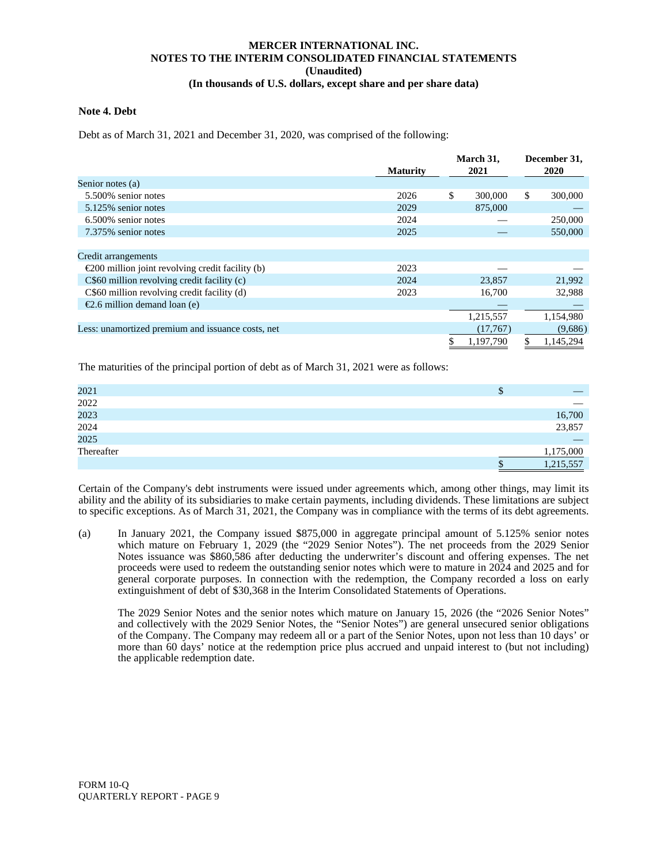#### **Note 4. Debt**

Debt as of March 31, 2021 and December 31, 2020, was comprised of the following:

|                                                            |                 | March 31, |           | December 31, |           |
|------------------------------------------------------------|-----------------|-----------|-----------|--------------|-----------|
|                                                            | <b>Maturity</b> |           | 2021      |              | 2020      |
| Senior notes (a)                                           |                 |           |           |              |           |
| 5.500% senior notes                                        | 2026            | \$        | 300,000   | \$           | 300,000   |
| 5.125% senior notes                                        | 2029            |           | 875,000   |              |           |
| 6.500% senior notes                                        | 2024            |           |           |              | 250,000   |
| 7.375% senior notes                                        | 2025            |           |           |              | 550,000   |
|                                                            |                 |           |           |              |           |
| Credit arrangements                                        |                 |           |           |              |           |
| $\epsilon$ 200 million joint revolving credit facility (b) | 2023            |           |           |              |           |
| C\$60 million revolving credit facility (c)                | 2024            |           | 23,857    |              | 21,992    |
| C\$60 million revolving credit facility (d)                | 2023            |           | 16,700    |              | 32,988    |
| €2.6 million demand loan (e)                               |                 |           |           |              |           |
|                                                            |                 |           | 1,215,557 |              | 1,154,980 |
| Less: unamortized premium and issuance costs, net          |                 |           | (17,767)  |              | (9,686)   |
|                                                            |                 |           | 1,197,790 |              | 1,145,294 |

The maturities of the principal portion of debt as of March 31, 2021 were as follows:

| 2021       | Ф              |
|------------|----------------|
| 2022       | __             |
| 2023       | 16,700         |
| 2024       | 23,857         |
| 2025       |                |
| Thereafter | 1,175,000      |
|            | 1,215,557<br>Φ |

Certain of the Company's debt instruments were issued under agreements which, among other things, may limit its ability and the ability of its subsidiaries to make certain payments, including dividends. These limitations are subject to specific exceptions. As of March 31, 2021, the Company was in compliance with the terms of its debt agreements.

(a) In January 2021, the Company issued \$875,000 in aggregate principal amount of 5.125% senior notes which mature on February 1, 2029 (the "2029 Senior Notes"). The net proceeds from the 2029 Senior Notes issuance was \$860,586 after deducting the underwriter's discount and offering expenses. The net proceeds were used to redeem the outstanding senior notes which were to mature in 2024 and 2025 and for general corporate purposes. In connection with the redemption, the Company recorded a loss on early extinguishment of debt of \$30,368 in the Interim Consolidated Statements of Operations.

The 2029 Senior Notes and the senior notes which mature on January 15, 2026 (the "2026 Senior Notes" and collectively with the 2029 Senior Notes, the "Senior Notes") are general unsecured senior obligations of the Company. The Company may redeem all or a part of the Senior Notes, upon not less than 10 days' or more than 60 days' notice at the redemption price plus accrued and unpaid interest to (but not including) the applicable redemption date.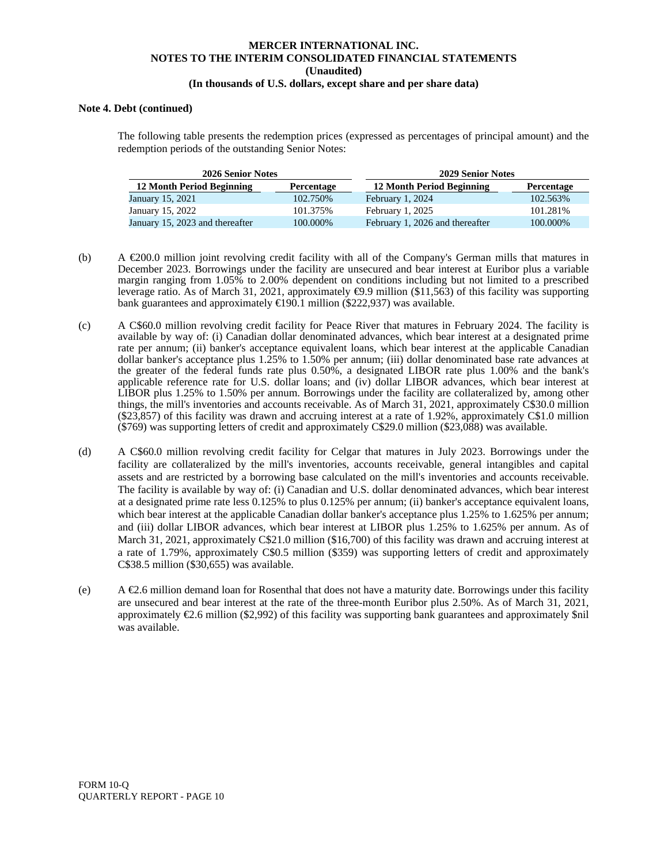#### **Note 4. Debt (continued)**

The following table presents the redemption prices (expressed as percentages of principal amount) and the redemption periods of the outstanding Senior Notes:

| 2026 Senior Notes                |            | <b>2029 Senior Notes</b>        |            |
|----------------------------------|------------|---------------------------------|------------|
| <b>12 Month Period Beginning</b> | Percentage | 12 Month Period Beginning       | Percentage |
| January 15, 2021                 | 102.750\%  | February 1, 2024                | 102.563%   |
| January 15, 2022                 | 101.375%   | February 1, 2025                | 101.281%   |
| January 15, 2023 and thereafter  | 100.000%   | February 1, 2026 and thereafter | 100.000%   |

- (b) A  $\epsilon$ 200.0 million joint revolving credit facility with all of the Company's German mills that matures in December 2023. Borrowings under the facility are unsecured and bear interest at Euribor plus a variable margin ranging from 1.05% to 2.00% dependent on conditions including but not limited to a prescribed leverage ratio. As of March 31, 2021, approximately €9.9 million (\$11,563) of this facility was supporting bank guarantees and approximately  $\epsilon$ 190.1 million (\$222,937) was available.
- (c) A C\$60.0 million revolving credit facility for Peace River that matures in February 2024. The facility is available by way of: (i) Canadian dollar denominated advances, which bear interest at a designated prime rate per annum; (ii) banker's acceptance equivalent loans, which bear interest at the applicable Canadian dollar banker's acceptance plus 1.25% to 1.50% per annum; (iii) dollar denominated base rate advances at the greater of the federal funds rate plus 0.50%, a designated LIBOR rate plus 1.00% and the bank's applicable reference rate for U.S. dollar loans; and (iv) dollar LIBOR advances, which bear interest at LIBOR plus 1.25% to 1.50% per annum. Borrowings under the facility are collateralized by, among other things, the mill's inventories and accounts receivable. As of March 31, 2021, approximately C\$30.0 million (\$23,857) of this facility was drawn and accruing interest at a rate of 1.92%, approximately C\$1.0 million (\$769) was supporting letters of credit and approximately C\$29.0 million (\$23,088) was available.
- (d) A C\$60.0 million revolving credit facility for Celgar that matures in July 2023. Borrowings under the facility are collateralized by the mill's inventories, accounts receivable, general intangibles and capital assets and are restricted by a borrowing base calculated on the mill's inventories and accounts receivable. The facility is available by way of: (i) Canadian and U.S. dollar denominated advances, which bear interest at a designated prime rate less 0.125% to plus 0.125% per annum; (ii) banker's acceptance equivalent loans, which bear interest at the applicable Canadian dollar banker's acceptance plus 1.25% to 1.625% per annum; and (iii) dollar LIBOR advances, which bear interest at LIBOR plus 1.25% to 1.625% per annum. As of March 31, 2021, approximately C\$21.0 million (\$16,700) of this facility was drawn and accruing interest at a rate of 1.79%, approximately C\$0.5 million (\$359) was supporting letters of credit and approximately C\$38.5 million (\$30,655) was available.
- (e) A  $\epsilon$ 2.6 million demand loan for Rosenthal that does not have a maturity date. Borrowings under this facility are unsecured and bear interest at the rate of the three-month Euribor plus 2.50%. As of March 31, 2021, approximately  $\epsilon$ 2.6 million (\$2,992) of this facility was supporting bank guarantees and approximately \$nil was available.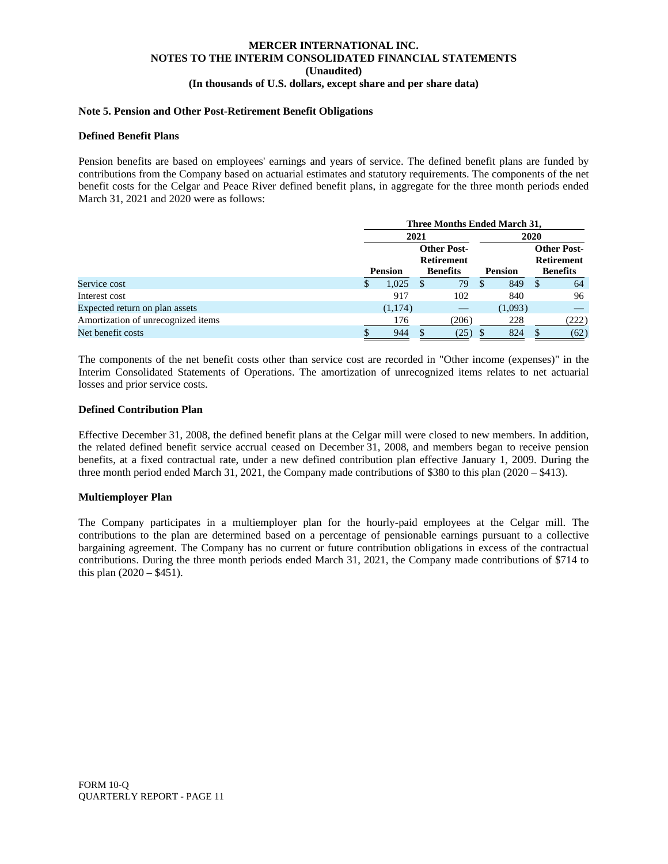#### **Note 5. Pension and Other Post-Retirement Benefit Obligations**

#### **Defined Benefit Plans**

Pension benefits are based on employees' earnings and years of service. The defined benefit plans are funded by contributions from the Company based on actuarial estimates and statutory requirements. The components of the net benefit costs for the Celgar and Peace River defined benefit plans, in aggregate for the three month periods ended March 31, 2021 and 2020 were as follows:

|                                    | Three Months Ended March 31, |               |                                                            |    |                |               |                                                            |  |
|------------------------------------|------------------------------|---------------|------------------------------------------------------------|----|----------------|---------------|------------------------------------------------------------|--|
|                                    |                              | 2021          |                                                            |    |                |               |                                                            |  |
|                                    | <b>Pension</b>               |               | <b>Other Post-</b><br><b>Retirement</b><br><b>Benefits</b> |    | <b>Pension</b> |               | <b>Other Post-</b><br><b>Retirement</b><br><b>Benefits</b> |  |
| Service cost                       | \$<br>1,025                  | <sup>\$</sup> | 79                                                         | -S | 849            | <sup>\$</sup> | 64                                                         |  |
| Interest cost                      | 917                          |               | 102                                                        |    | 840            |               | 96                                                         |  |
| Expected return on plan assets     | (1,174)                      |               | --                                                         |    | (1,093)        |               |                                                            |  |
| Amortization of unrecognized items | 176                          |               | (206)                                                      |    | 228            |               | (222)                                                      |  |
| Net benefit costs                  | \$<br>944                    |               | (25                                                        |    | 824            |               | (62)                                                       |  |

The components of the net benefit costs other than service cost are recorded in "Other income (expenses)" in the Interim Consolidated Statements of Operations. The amortization of unrecognized items relates to net actuarial losses and prior service costs.

#### **Defined Contribution Plan**

Effective December 31, 2008, the defined benefit plans at the Celgar mill were closed to new members. In addition, the related defined benefit service accrual ceased on December 31, 2008, and members began to receive pension benefits, at a fixed contractual rate, under a new defined contribution plan effective January 1, 2009. During the three month period ended March 31, 2021, the Company made contributions of \$380 to this plan (2020 – \$413).

#### **Multiemployer Plan**

The Company participates in a multiemployer plan for the hourly-paid employees at the Celgar mill. The contributions to the plan are determined based on a percentage of pensionable earnings pursuant to a collective bargaining agreement. The Company has no current or future contribution obligations in excess of the contractual contributions. During the three month periods ended March 31, 2021, the Company made contributions of \$714 to this plan  $(2020 - $451)$ .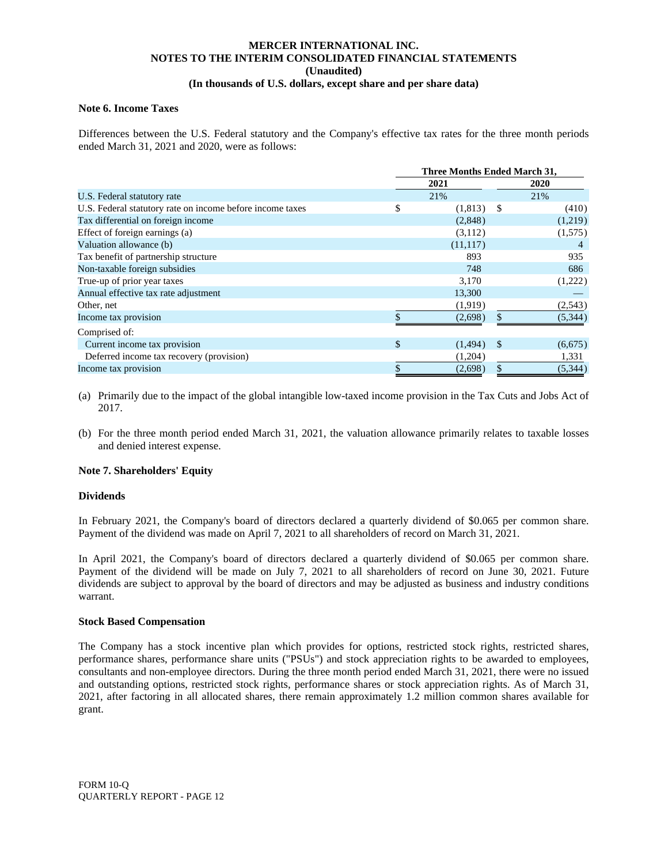#### **Note 6. Income Taxes**

Differences between the U.S. Federal statutory and the Company's effective tax rates for the three month periods ended March 31, 2021 and 2020, were as follows:

|                                                           | Three Months Ended March 31, |           |    |             |  |  |
|-----------------------------------------------------------|------------------------------|-----------|----|-------------|--|--|
|                                                           |                              | 2021      |    | <b>2020</b> |  |  |
| U.S. Federal statutory rate                               |                              | 21%       |    | 21%         |  |  |
| U.S. Federal statutory rate on income before income taxes | \$                           | (1,813)   | -S | (410)       |  |  |
| Tax differential on foreign income                        |                              | (2,848)   |    | (1,219)     |  |  |
| Effect of foreign earnings (a)                            |                              | (3,112)   |    | (1,575)     |  |  |
| Valuation allowance (b)                                   |                              | (11, 117) |    | 4           |  |  |
| Tax benefit of partnership structure                      |                              | 893       |    | 935         |  |  |
| Non-taxable foreign subsidies                             |                              | 748       |    | 686         |  |  |
| True-up of prior year taxes                               |                              | 3,170     |    | (1,222)     |  |  |
| Annual effective tax rate adjustment                      |                              | 13,300    |    |             |  |  |
| Other, net                                                |                              | (1,919)   |    | (2,543)     |  |  |
| Income tax provision                                      |                              | (2,698)   |    | (5, 344)    |  |  |
| Comprised of:                                             |                              |           |    |             |  |  |
| Current income tax provision                              | $\mathcal{S}$                | (1, 494)  | -S | (6,675)     |  |  |
| Deferred income tax recovery (provision)                  |                              | (1,204)   |    | 1,331       |  |  |
| Income tax provision                                      |                              | (2,698)   | \$ | (5,344)     |  |  |

- (a) Primarily due to the impact of the global intangible low-taxed income provision in the Tax Cuts and Jobs Act of 2017.
- (b) For the three month period ended March 31, 2021, the valuation allowance primarily relates to taxable losses and denied interest expense.

#### **Note 7. Shareholders' Equity**

#### **Dividends**

In February 2021, the Company's board of directors declared a quarterly dividend of \$0.065 per common share. Payment of the dividend was made on April 7, 2021 to all shareholders of record on March 31, 2021.

In April 2021, the Company's board of directors declared a quarterly dividend of \$0.065 per common share. Payment of the dividend will be made on July 7, 2021 to all shareholders of record on June 30, 2021. Future dividends are subject to approval by the board of directors and may be adjusted as business and industry conditions warrant.

#### **Stock Based Compensation**

The Company has a stock incentive plan which provides for options, restricted stock rights, restricted shares, performance shares, performance share units ("PSUs") and stock appreciation rights to be awarded to employees, consultants and non-employee directors. During the three month period ended March 31, 2021, there were no issued and outstanding options, restricted stock rights, performance shares or stock appreciation rights. As of March 31, 2021, after factoring in all allocated shares, there remain approximately 1.2 million common shares available for grant.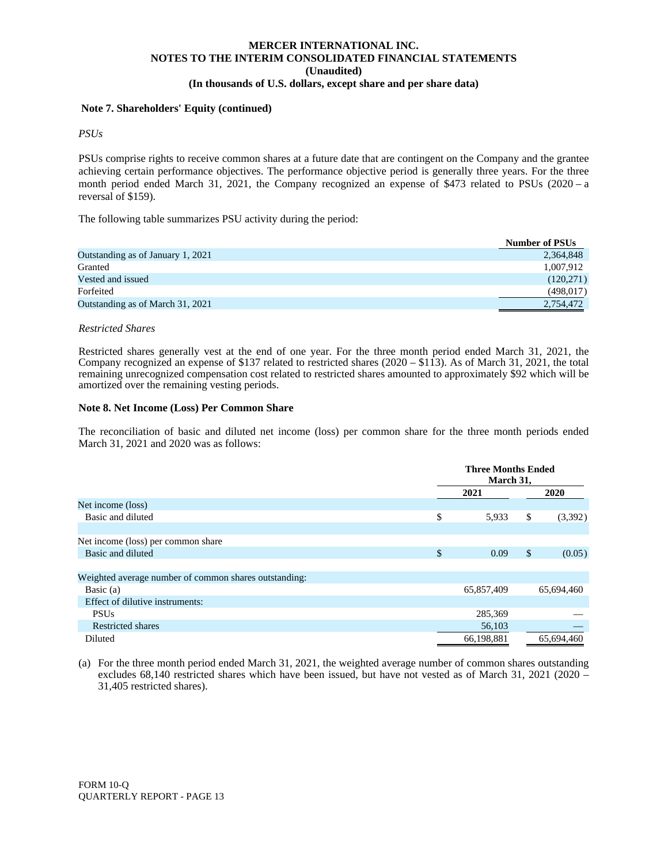#### **Note 7. Shareholders' Equity (continued)**

*PSUs*

PSUs comprise rights to receive common shares at a future date that are contingent on the Company and the grantee achieving certain performance objectives. The performance objective period is generally three years. For the three month period ended March 31, 2021, the Company recognized an expense of \$473 related to PSUs (2020 – a reversal of \$159).

The following table summarizes PSU activity during the period:

|                                   | <b>Number of PSUs</b> |
|-----------------------------------|-----------------------|
| Outstanding as of January 1, 2021 | 2,364,848             |
| Granted                           | 1.007.912             |
| Vested and issued                 | (120,271)             |
| Forfeited                         | (498, 017)            |
| Outstanding as of March 31, 2021  | 2,754,472             |

#### *Restricted Shares*

Restricted shares generally vest at the end of one year. For the three month period ended March 31, 2021, the Company recognized an expense of \$137 related to restricted shares  $(2020 - 113)$ . As of March 31, 2021, the total remaining unrecognized compensation cost related to restricted shares amounted to approximately \$92 which will be amortized over the remaining vesting periods.

#### **Note 8. Net Income (Loss) Per Common Share**

The reconciliation of basic and diluted net income (loss) per common share for the three month periods ended March 31, 2021 and 2020 was as follows:

|                                                       |    | <b>Three Months Ended</b><br>March 31, |              |            |  |  |
|-------------------------------------------------------|----|----------------------------------------|--------------|------------|--|--|
|                                                       |    | 2021                                   |              | 2020       |  |  |
| Net income (loss)                                     |    |                                        |              |            |  |  |
| Basic and diluted                                     | \$ | 5,933                                  | \$           | (3,392)    |  |  |
|                                                       |    |                                        |              |            |  |  |
| Net income (loss) per common share                    |    |                                        |              |            |  |  |
| Basic and diluted                                     | \$ | 0.09                                   | $\mathbb{S}$ | (0.05)     |  |  |
|                                                       |    |                                        |              |            |  |  |
| Weighted average number of common shares outstanding: |    |                                        |              |            |  |  |
| Basic (a)                                             |    | 65,857,409                             |              | 65,694,460 |  |  |
| Effect of dilutive instruments:                       |    |                                        |              |            |  |  |
| <b>PSUs</b>                                           |    | 285,369                                |              |            |  |  |
| <b>Restricted shares</b>                              |    | 56,103                                 |              |            |  |  |
| Diluted                                               |    | 66,198,881                             |              | 65,694,460 |  |  |

(a) For the three month period ended March 31, 2021, the weighted average number of common shares outstanding excludes 68,140 restricted shares which have been issued, but have not vested as of March 31, 2021 (2020 – 31,405 restricted shares).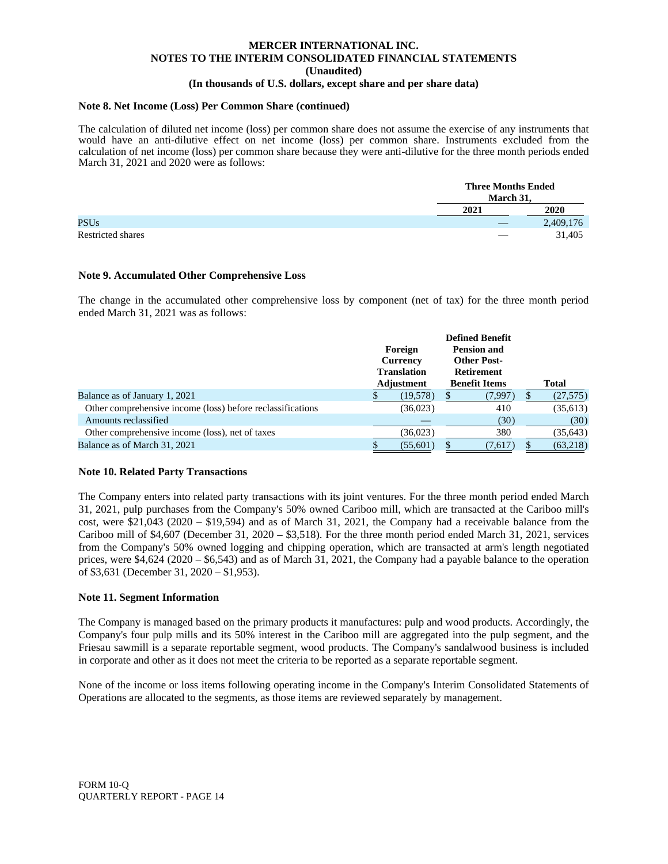#### **Note 8. Net Income (Loss) Per Common Share (continued)**

The calculation of diluted net income (loss) per common share does not assume the exercise of any instruments that would have an anti-dilutive effect on net income (loss) per common share. Instruments excluded from the calculation of net income (loss) per common share because they were anti-dilutive for the three month periods ended March 31, 2021 and 2020 were as follows:

|                   | <b>Three Months Ended</b><br>March 31. |           |
|-------------------|----------------------------------------|-----------|
|                   | 2021                                   | 2020      |
| <b>PSUs</b>       |                                        | 2,409,176 |
| Restricted shares | $\overline{\phantom{a}}$               | 31.405    |

#### **Note 9. Accumulated Other Comprehensive Loss**

The change in the accumulated other comprehensive loss by component (net of tax) for the three month period ended March 31, 2021 was as follows:

|                                                            |  | Foreign<br><b>Currency</b><br><b>Translation</b><br>Adjustment | <b>Defined Benefit</b><br><b>Pension and</b><br><b>Other Post-</b><br><b>Retirement</b><br><b>Benefit Items</b> |         |  | Total     |
|------------------------------------------------------------|--|----------------------------------------------------------------|-----------------------------------------------------------------------------------------------------------------|---------|--|-----------|
| Balance as of January 1, 2021                              |  | (19, 578)                                                      | \$                                                                                                              | (7,997) |  | (27,575)  |
| Other comprehensive income (loss) before reclassifications |  | (36,023)                                                       |                                                                                                                 | 410     |  | (35, 613) |
| Amounts reclassified                                       |  |                                                                |                                                                                                                 | (30)    |  | (30)      |
| Other comprehensive income (loss), net of taxes            |  | (36,023)                                                       |                                                                                                                 | 380     |  | (35,643)  |
| Balance as of March 31, 2021                               |  | (55,601)                                                       |                                                                                                                 | (7,617) |  | (63,218)  |

#### **Note 10. Related Party Transactions**

The Company enters into related party transactions with its joint ventures. For the three month period ended March 31, 2021, pulp purchases from the Company's 50% owned Cariboo mill, which are transacted at the Cariboo mill's cost, were  $$21,043$  (2020 – \$19,594) and as of March 31, 2021, the Company had a receivable balance from the Cariboo mill of \$4,607 (December 31, 2020 – \$3,518). For the three month period ended March 31, 2021, services from the Company's 50% owned logging and chipping operation, which are transacted at arm's length negotiated prices, were \$4,624 (2020 – \$6,543) and as of March 31, 2021, the Company had a payable balance to the operation of \$3,631 (December 31, 2020 – \$1,953).

#### **Note 11. Segment Information**

The Company is managed based on the primary products it manufactures: pulp and wood products. Accordingly, the Company's four pulp mills and its 50% interest in the Cariboo mill are aggregated into the pulp segment, and the Friesau sawmill is a separate reportable segment, wood products. The Company's sandalwood business is included in corporate and other as it does not meet the criteria to be reported as a separate reportable segment.

None of the income or loss items following operating income in the Company's Interim Consolidated Statements of Operations are allocated to the segments, as those items are reviewed separately by management.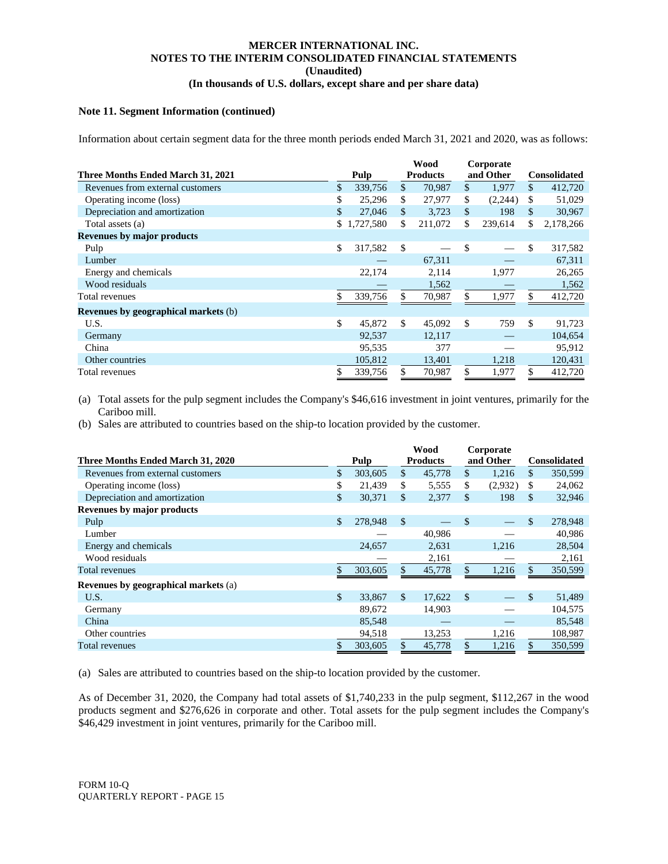#### **Note 11. Segment Information (continued)**

Information about certain segment data for the three month periods ended March 31, 2021 and 2020, was as follows:

|                                      |     |           |                 | Wood    |              | Corporate |     |                     |  |
|--------------------------------------|-----|-----------|-----------------|---------|--------------|-----------|-----|---------------------|--|
| Three Months Ended March 31, 2021    |     | Pulp      | <b>Products</b> |         | and Other    |           |     | <b>Consolidated</b> |  |
| Revenues from external customers     | \$  | 339,756   | \$              | 70,987  | $\mathbb{S}$ | 1,977     | \$. | 412,720             |  |
| Operating income (loss)              | \$  | 25,296    | \$              | 27,977  | \$           | (2,244)   | \$  | 51,029              |  |
| Depreciation and amortization        | \$  | 27,046    | \$              | 3,723   | \$           | 198       | \$  | 30,967              |  |
| Total assets (a)                     | \$. | 1,727,580 | \$              | 211,072 | \$           | 239,614   | \$  | 2,178,266           |  |
| <b>Revenues by major products</b>    |     |           |                 |         |              |           |     |                     |  |
| Pulp                                 | \$  | 317,582   | <sup>\$</sup>   |         | \$           |           | \$  | 317,582             |  |
| Lumber                               |     |           |                 | 67,311  |              |           |     | 67,311              |  |
| Energy and chemicals                 |     | 22,174    |                 | 2,114   |              | 1,977     |     | 26,265              |  |
| Wood residuals                       |     |           |                 | 1,562   |              |           |     | 1,562               |  |
| Total revenues                       | \$  | 339,756   | \$.             | 70,987  |              | 1,977     | \$. | 412,720             |  |
| Revenues by geographical markets (b) |     |           |                 |         |              |           |     |                     |  |
| U.S.                                 | \$  | 45,872    | \$.             | 45,092  | \$           | 759       | \$  | 91,723              |  |
| Germany                              |     | 92,537    |                 | 12,117  |              |           |     | 104,654             |  |
| China                                |     | 95,535    |                 | 377     |              |           |     | 95,912              |  |
| Other countries                      |     | 105,812   |                 | 13,401  |              | 1,218     |     | 120,431             |  |
| Total revenues                       | \$  | 339,756   |                 | 70,987  |              | 1,977     |     | 412,720             |  |

(a) Total assets for the pulp segment includes the Company's \$46,616 investment in joint ventures, primarily for the Cariboo mill.

(b) Sales are attributed to countries based on the ship-to location provided by the customer.

|                                             |               |         |               | Wood   |               | Corporate       |               |           |                     |  |
|---------------------------------------------|---------------|---------|---------------|--------|---------------|-----------------|---------------|-----------|---------------------|--|
| Three Months Ended March 31, 2020           |               | Pulp    |               |        |               | <b>Products</b> |               | and Other | <b>Consolidated</b> |  |
| Revenues from external customers            | \$            | 303,605 | \$            | 45,778 | \$            | 1,216           | \$            | 350,599   |                     |  |
| Operating income (loss)                     | \$            | 21,439  | \$            | 5,555  | \$            | (2,932)         | \$            | 24,062    |                     |  |
| Depreciation and amortization               | \$            | 30,371  | \$            | 2,377  | \$.           | 198             | \$            | 32,946    |                     |  |
| Revenues by major products                  |               |         |               |        |               |                 |               |           |                     |  |
| Pulp                                        | \$            | 278,948 | $\mathcal{S}$ |        | $\mathcal{S}$ |                 | \$            | 278,948   |                     |  |
| Lumber                                      |               |         |               | 40,986 |               |                 |               | 40,986    |                     |  |
| Energy and chemicals                        |               | 24,657  |               | 2,631  |               | 1,216           |               | 28,504    |                     |  |
| Wood residuals                              |               |         |               | 2,161  |               |                 |               | 2,161     |                     |  |
| Total revenues                              | \$            | 303,605 | $\mathcal{S}$ | 45,778 | \$            | 1,216           | $\mathcal{S}$ | 350,599   |                     |  |
| <b>Revenues by geographical markets (a)</b> |               |         |               |        |               |                 |               |           |                     |  |
| U.S.                                        | $\mathcal{S}$ | 33,867  | <sup>\$</sup> | 17,622 | $\mathcal{S}$ |                 | \$            | 51,489    |                     |  |
| Germany                                     |               | 89,672  |               | 14,903 |               |                 |               | 104,575   |                     |  |
| China                                       |               | 85,548  |               |        |               |                 |               | 85,548    |                     |  |
| Other countries                             |               | 94,518  |               | 13,253 |               | 1,216           |               | 108,987   |                     |  |
| Total revenues                              |               | 303,605 | \$            | 45,778 |               | 1,216           | \$            | 350,599   |                     |  |

(a) Sales are attributed to countries based on the ship-to location provided by the customer.

As of December 31, 2020, the Company had total assets of \$1,740,233 in the pulp segment, \$112,267 in the wood products segment and \$276,626 in corporate and other. Total assets for the pulp segment includes the Company's \$46,429 investment in joint ventures, primarily for the Cariboo mill.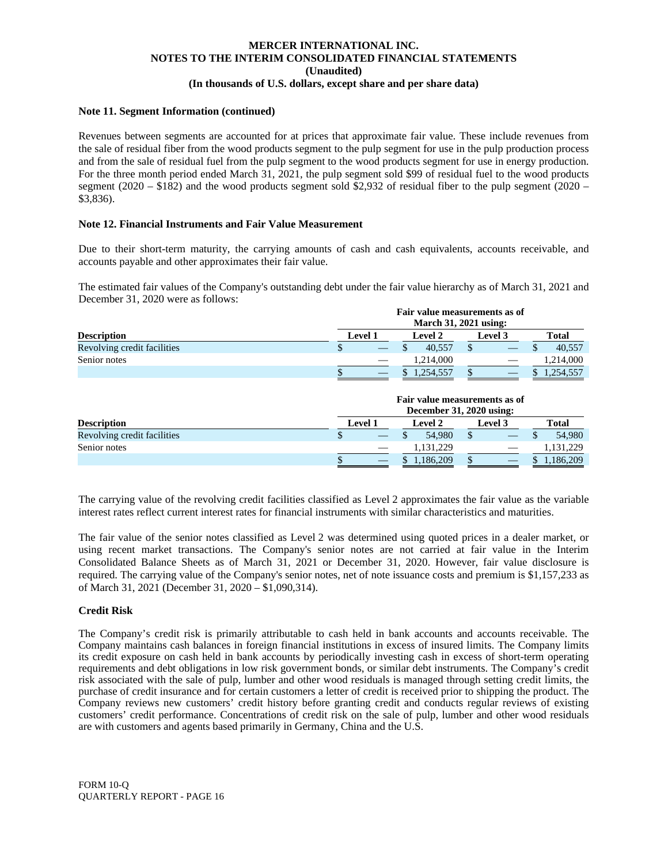#### **Note 11. Segment Information (continued)**

Revenues between segments are accounted for at prices that approximate fair value. These include revenues from the sale of residual fiber from the wood products segment to the pulp segment for use in the pulp production process and from the sale of residual fuel from the pulp segment to the wood products segment for use in energy production. For the three month period ended March 31, 2021, the pulp segment sold \$99 of residual fuel to the wood products segment (2020 – \$182) and the wood products segment sold \$2,932 of residual fiber to the pulp segment (2020 – \$3,836).

#### **Note 12. Financial Instruments and Fair Value Measurement**

Due to their short-term maturity, the carrying amounts of cash and cash equivalents, accounts receivable, and accounts payable and other approximates their fair value.

The estimated fair values of the Company's outstanding debt under the fair value hierarchy as of March 31, 2021 and December 31, 2020 were as follows:

| <b>Description</b>          | Fair value measurements as of<br>March 31, 2021 using: |           |                |  |       |           |  |  |  |  |
|-----------------------------|--------------------------------------------------------|-----------|----------------|--|-------|-----------|--|--|--|--|
|                             | <b>Level 1</b>                                         | Level 2   | <b>Level</b> 3 |  | Total |           |  |  |  |  |
| Revolving credit facilities |                                                        | 40.557    |                |  |       | 40.557    |  |  |  |  |
| Senior notes                |                                                        | 1,214,000 |                |  |       | 1,214,000 |  |  |  |  |
|                             |                                                        | 1,254,557 |                |  |       | 1,254,557 |  |  |  |  |

| <b>Description</b>          |                | Fair value measurements as of<br>December 31, 2020 using: |                |                |  |  |           |  |  |  |  |
|-----------------------------|----------------|-----------------------------------------------------------|----------------|----------------|--|--|-----------|--|--|--|--|
|                             | <b>Level 1</b> |                                                           | <b>Level 2</b> | <b>Level</b> 3 |  |  | Total     |  |  |  |  |
| Revolving credit facilities |                |                                                           | 54.980         |                |  |  | 54,980    |  |  |  |  |
| Senior notes                |                |                                                           | 1,131,229      |                |  |  | 1,131,229 |  |  |  |  |
|                             |                |                                                           | \$1.186.209    |                |  |  | 1,186,209 |  |  |  |  |

The carrying value of the revolving credit facilities classified as Level 2 approximates the fair value as the variable interest rates reflect current interest rates for financial instruments with similar characteristics and maturities.

The fair value of the senior notes classified as Level 2 was determined using quoted prices in a dealer market, or using recent market transactions. The Company's senior notes are not carried at fair value in the Interim Consolidated Balance Sheets as of March 31, 2021 or December 31, 2020. However, fair value disclosure is required. The carrying value of the Company's senior notes, net of note issuance costs and premium is \$1,157,233 as of March 31, 2021 (December 31, 2020 – \$1,090,314).

#### **Credit Risk**

The Company's credit risk is primarily attributable to cash held in bank accounts and accounts receivable. The Company maintains cash balances in foreign financial institutions in excess of insured limits. The Company limits its credit exposure on cash held in bank accounts by periodically investing cash in excess of short-term operating requirements and debt obligations in low risk government bonds, or similar debt instruments. The Company's credit risk associated with the sale of pulp, lumber and other wood residuals is managed through setting credit limits, the purchase of credit insurance and for certain customers a letter of credit is received prior to shipping the product. The Company reviews new customers' credit history before granting credit and conducts regular reviews of existing customers' credit performance. Concentrations of credit risk on the sale of pulp, lumber and other wood residuals are with customers and agents based primarily in Germany, China and the U.S.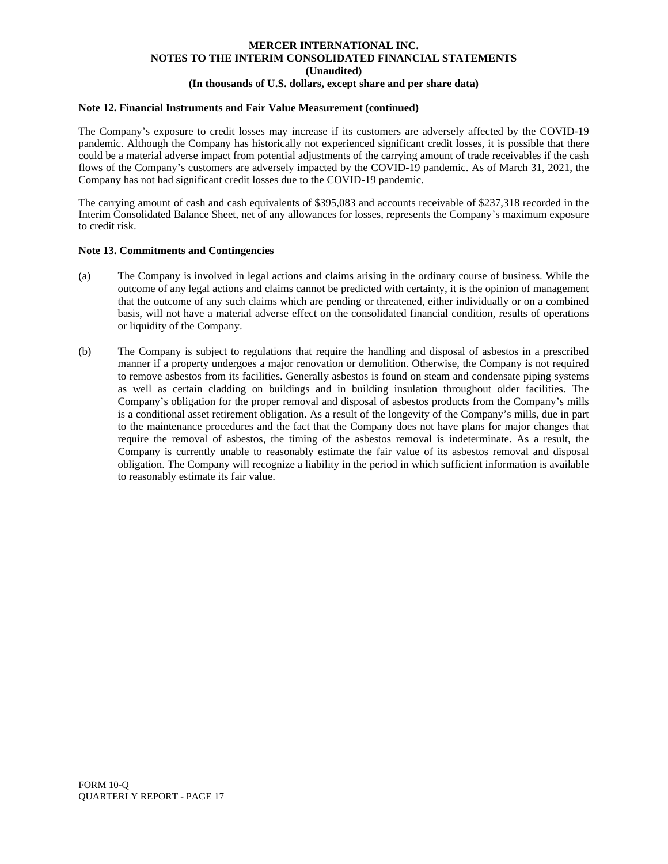#### **Note 12. Financial Instruments and Fair Value Measurement (continued)**

The Company's exposure to credit losses may increase if its customers are adversely affected by the COVID-19 pandemic. Although the Company has historically not experienced significant credit losses, it is possible that there could be a material adverse impact from potential adjustments of the carrying amount of trade receivables if the cash flows of the Company's customers are adversely impacted by the COVID-19 pandemic. As of March 31, 2021, the Company has not had significant credit losses due to the COVID-19 pandemic.

The carrying amount of cash and cash equivalents of \$395,083 and accounts receivable of \$237,318 recorded in the Interim Consolidated Balance Sheet, net of any allowances for losses, represents the Company's maximum exposure to credit risk.

#### **Note 13. Commitments and Contingencies**

- (a) The Company is involved in legal actions and claims arising in the ordinary course of business. While the outcome of any legal actions and claims cannot be predicted with certainty, it is the opinion of management that the outcome of any such claims which are pending or threatened, either individually or on a combined basis, will not have a material adverse effect on the consolidated financial condition, results of operations or liquidity of the Company.
- (b) The Company is subject to regulations that require the handling and disposal of asbestos in a prescribed manner if a property undergoes a major renovation or demolition. Otherwise, the Company is not required to remove asbestos from its facilities. Generally asbestos is found on steam and condensate piping systems as well as certain cladding on buildings and in building insulation throughout older facilities. The Company's obligation for the proper removal and disposal of asbestos products from the Company's mills is a conditional asset retirement obligation. As a result of the longevity of the Company's mills, due in part to the maintenance procedures and the fact that the Company does not have plans for major changes that require the removal of asbestos, the timing of the asbestos removal is indeterminate. As a result, the Company is currently unable to reasonably estimate the fair value of its asbestos removal and disposal obligation. The Company will recognize a liability in the period in which sufficient information is available to reasonably estimate its fair value.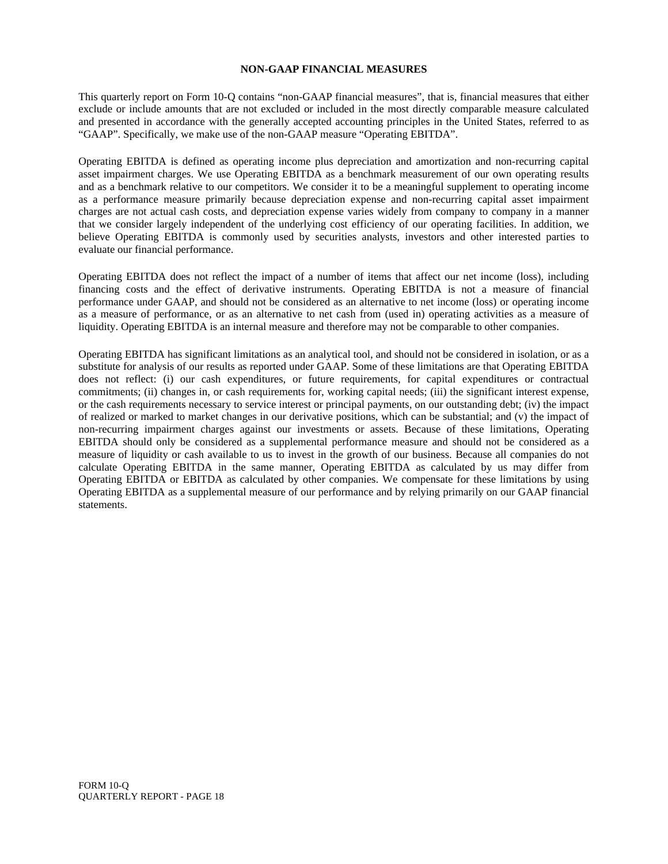#### **NON-GAAP FINANCIAL MEASURES**

This quarterly report on Form 10-Q contains "non-GAAP financial measures", that is, financial measures that either exclude or include amounts that are not excluded or included in the most directly comparable measure calculated and presented in accordance with the generally accepted accounting principles in the United States, referred to as "GAAP". Specifically, we make use of the non-GAAP measure "Operating EBITDA".

Operating EBITDA is defined as operating income plus depreciation and amortization and non-recurring capital asset impairment charges. We use Operating EBITDA as a benchmark measurement of our own operating results and as a benchmark relative to our competitors. We consider it to be a meaningful supplement to operating income as a performance measure primarily because depreciation expense and non-recurring capital asset impairment charges are not actual cash costs, and depreciation expense varies widely from company to company in a manner that we consider largely independent of the underlying cost efficiency of our operating facilities. In addition, we believe Operating EBITDA is commonly used by securities analysts, investors and other interested parties to evaluate our financial performance.

Operating EBITDA does not reflect the impact of a number of items that affect our net income (loss), including financing costs and the effect of derivative instruments. Operating EBITDA is not a measure of financial performance under GAAP, and should not be considered as an alternative to net income (loss) or operating income as a measure of performance, or as an alternative to net cash from (used in) operating activities as a measure of liquidity. Operating EBITDA is an internal measure and therefore may not be comparable to other companies.

Operating EBITDA has significant limitations as an analytical tool, and should not be considered in isolation, or as a substitute for analysis of our results as reported under GAAP. Some of these limitations are that Operating EBITDA does not reflect: (i) our cash expenditures, or future requirements, for capital expenditures or contractual commitments; (ii) changes in, or cash requirements for, working capital needs; (iii) the significant interest expense, or the cash requirements necessary to service interest or principal payments, on our outstanding debt; (iv) the impact of realized or marked to market changes in our derivative positions, which can be substantial; and (v) the impact of non-recurring impairment charges against our investments or assets. Because of these limitations, Operating EBITDA should only be considered as a supplemental performance measure and should not be considered as a measure of liquidity or cash available to us to invest in the growth of our business. Because all companies do not calculate Operating EBITDA in the same manner, Operating EBITDA as calculated by us may differ from Operating EBITDA or EBITDA as calculated by other companies. We compensate for these limitations by using Operating EBITDA as a supplemental measure of our performance and by relying primarily on our GAAP financial statements.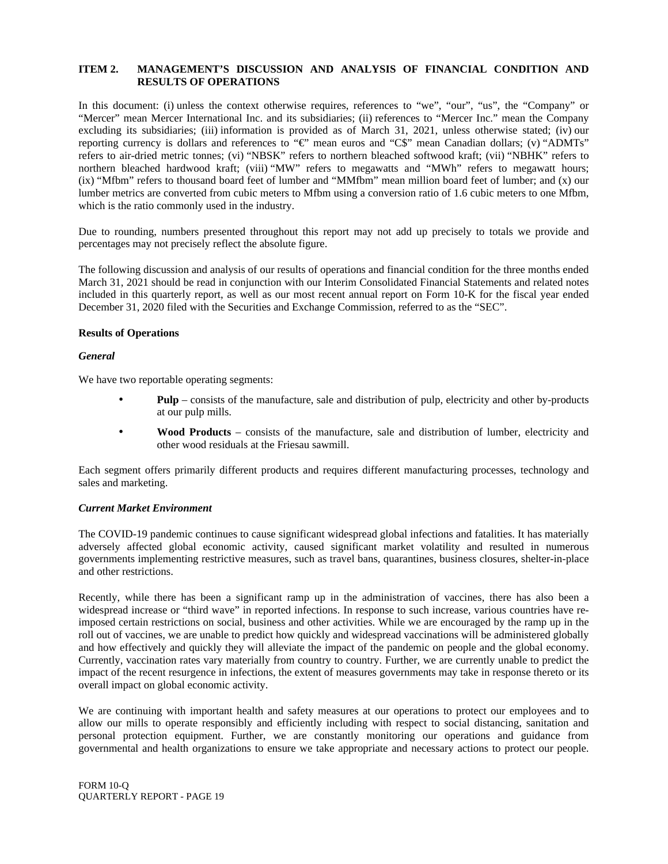#### **ITEM 2. MANAGEMENT'S DISCUSSION AND ANALYSIS OF FINANCIAL CONDITION AND RESULTS OF OPERATIONS**

In this document: (i) unless the context otherwise requires, references to "we", "our", "us", the "Company" or "Mercer" mean Mercer International Inc. and its subsidiaries; (ii) references to "Mercer Inc." mean the Company excluding its subsidiaries; (iii) information is provided as of March 31, 2021, unless otherwise stated; (iv) our reporting currency is dollars and references to "€" mean euros and "C\$" mean Canadian dollars; (v) "ADMTs" refers to air-dried metric tonnes; (vi) "NBSK" refers to northern bleached softwood kraft; (vii) "NBHK" refers to northern bleached hardwood kraft; (viii) "MW" refers to megawatts and "MWh" refers to megawatt hours; (ix) "Mfbm" refers to thousand board feet of lumber and "MMfbm" mean million board feet of lumber; and (x) our lumber metrics are converted from cubic meters to Mfbm using a conversion ratio of 1.6 cubic meters to one Mfbm, which is the ratio commonly used in the industry.

Due to rounding, numbers presented throughout this report may not add up precisely to totals we provide and percentages may not precisely reflect the absolute figure.

The following discussion and analysis of our results of operations and financial condition for the three months ended March 31, 2021 should be read in conjunction with our Interim Consolidated Financial Statements and related notes included in this quarterly report, as well as our most recent annual report on Form 10-K for the fiscal year ended December 31, 2020 filed with the Securities and Exchange Commission, referred to as the "SEC".

#### **Results of Operations**

#### *General*

We have two reportable operating segments:

- **Pulp** consists of the manufacture, sale and distribution of pulp, electricity and other by-products at our pulp mills.
- **Wood Products** consists of the manufacture, sale and distribution of lumber, electricity and other wood residuals at the Friesau sawmill.

Each segment offers primarily different products and requires different manufacturing processes, technology and sales and marketing.

#### *Current Market Environment*

The COVID-19 pandemic continues to cause significant widespread global infections and fatalities. It has materially adversely affected global economic activity, caused significant market volatility and resulted in numerous governments implementing restrictive measures, such as travel bans, quarantines, business closures, shelter-in-place and other restrictions.

Recently, while there has been a significant ramp up in the administration of vaccines, there has also been a widespread increase or "third wave" in reported infections. In response to such increase, various countries have reimposed certain restrictions on social, business and other activities. While we are encouraged by the ramp up in the roll out of vaccines, we are unable to predict how quickly and widespread vaccinations will be administered globally and how effectively and quickly they will alleviate the impact of the pandemic on people and the global economy. Currently, vaccination rates vary materially from country to country. Further, we are currently unable to predict the impact of the recent resurgence in infections, the extent of measures governments may take in response thereto or its overall impact on global economic activity.

We are continuing with important health and safety measures at our operations to protect our employees and to allow our mills to operate responsibly and efficiently including with respect to social distancing, sanitation and personal protection equipment. Further, we are constantly monitoring our operations and guidance from governmental and health organizations to ensure we take appropriate and necessary actions to protect our people.

FORM 10-Q QUARTERLY REPORT - PAGE 19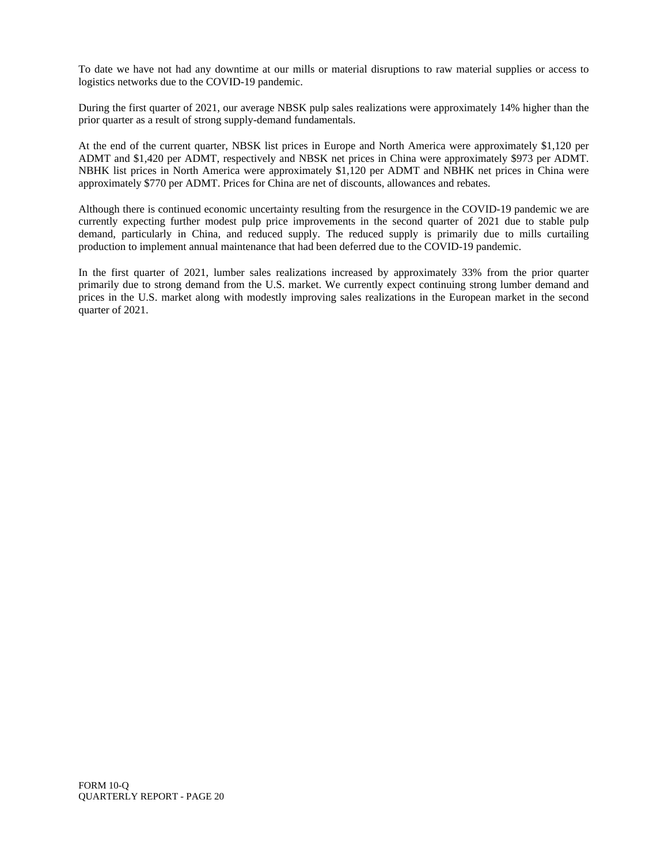To date we have not had any downtime at our mills or material disruptions to raw material supplies or access to logistics networks due to the COVID-19 pandemic.

During the first quarter of 2021, our average NBSK pulp sales realizations were approximately 14% higher than the prior quarter as a result of strong supply-demand fundamentals.

At the end of the current quarter, NBSK list prices in Europe and North America were approximately \$1,120 per ADMT and \$1,420 per ADMT, respectively and NBSK net prices in China were approximately \$973 per ADMT. NBHK list prices in North America were approximately \$1,120 per ADMT and NBHK net prices in China were approximately \$770 per ADMT. Prices for China are net of discounts, allowances and rebates.

Although there is continued economic uncertainty resulting from the resurgence in the COVID-19 pandemic we are currently expecting further modest pulp price improvements in the second quarter of 2021 due to stable pulp demand, particularly in China, and reduced supply. The reduced supply is primarily due to mills curtailing production to implement annual maintenance that had been deferred due to the COVID-19 pandemic.

In the first quarter of 2021, lumber sales realizations increased by approximately 33% from the prior quarter primarily due to strong demand from the U.S. market. We currently expect continuing strong lumber demand and prices in the U.S. market along with modestly improving sales realizations in the European market in the second quarter of 2021.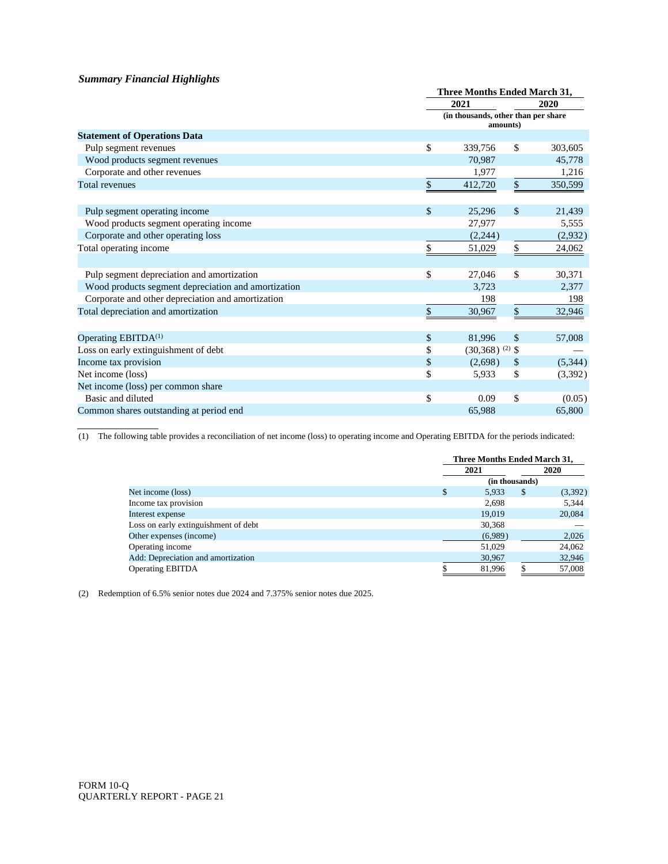#### *Summary Financial Highlights*

|                                                     |                                                 | Three Months Ended March 31, |                           |         |  |
|-----------------------------------------------------|-------------------------------------------------|------------------------------|---------------------------|---------|--|
|                                                     |                                                 | 2021                         |                           | 2020    |  |
|                                                     | (in thousands, other than per share<br>amounts) |                              |                           |         |  |
| <b>Statement of Operations Data</b>                 |                                                 |                              |                           |         |  |
| Pulp segment revenues                               | \$                                              | 339,756                      | $\mathbb{S}$              | 303,605 |  |
| Wood products segment revenues                      |                                                 | 70.987                       |                           | 45,778  |  |
| Corporate and other revenues                        |                                                 | 1,977                        |                           | 1,216   |  |
| Total revenues                                      | \$                                              | 412,720                      | $\mathbb S$               | 350,599 |  |
| Pulp segment operating income                       | \$                                              | 25,296                       | $\frac{1}{2}$             | 21,439  |  |
| Wood products segment operating income              |                                                 | 27,977                       |                           | 5,555   |  |
| Corporate and other operating loss                  |                                                 | (2,244)                      |                           | (2,932) |  |
| Total operating income                              | \$                                              | 51,029                       | \$                        | 24,062  |  |
|                                                     |                                                 |                              |                           |         |  |
| Pulp segment depreciation and amortization          | \$                                              | 27,046                       | $\boldsymbol{\mathsf{S}}$ | 30,371  |  |
| Wood products segment depreciation and amortization |                                                 | 3,723                        |                           | 2,377   |  |
| Corporate and other depreciation and amortization   |                                                 | 198                          |                           | 198     |  |
| Total depreciation and amortization                 | \$                                              | 30,967                       | \$                        | 32,946  |  |
|                                                     |                                                 |                              |                           |         |  |
| Operating EBITDA <sup>(1)</sup>                     | \$                                              | 81,996                       | \$                        | 57,008  |  |
| Loss on early extinguishment of debt                | \$                                              | $(30,368)$ <sup>(2)</sup> \$ |                           |         |  |
| Income tax provision                                | \$                                              | (2,698)                      | \$                        | (5,344) |  |
| Net income (loss)                                   | \$                                              | 5,933                        | \$                        | (3,392) |  |
| Net income (loss) per common share                  |                                                 |                              |                           |         |  |
| Basic and diluted                                   | \$                                              | 0.09                         | \$                        | (0.05)  |  |
| Common shares outstanding at period end             |                                                 | 65,988                       |                           | 65,800  |  |

(1) The following table provides a reconciliation of net income (loss) to operating income and Operating EBITDA for the periods indicated:

|                                      |      | Three Months Ended March 31, |         |  |  |
|--------------------------------------|------|------------------------------|---------|--|--|
|                                      | 2021 |                              | 2020    |  |  |
|                                      |      | (in thousands)               |         |  |  |
| Net income (loss)                    | \$   | \$<br>5,933                  | (3,392) |  |  |
| Income tax provision                 |      | 2,698                        | 5,344   |  |  |
| Interest expense                     |      | 19,019                       | 20,084  |  |  |
| Loss on early extinguishment of debt |      | 30,368                       |         |  |  |
| Other expenses (income)              |      | (6,989)                      | 2,026   |  |  |
| Operating income                     |      | 51,029                       | 24,062  |  |  |
| Add: Depreciation and amortization   |      | 30,967                       | 32,946  |  |  |
| <b>Operating EBITDA</b>              |      | 81,996                       | 57,008  |  |  |

(2) Redemption of 6.5% senior notes due 2024 and 7.375% senior notes due 2025.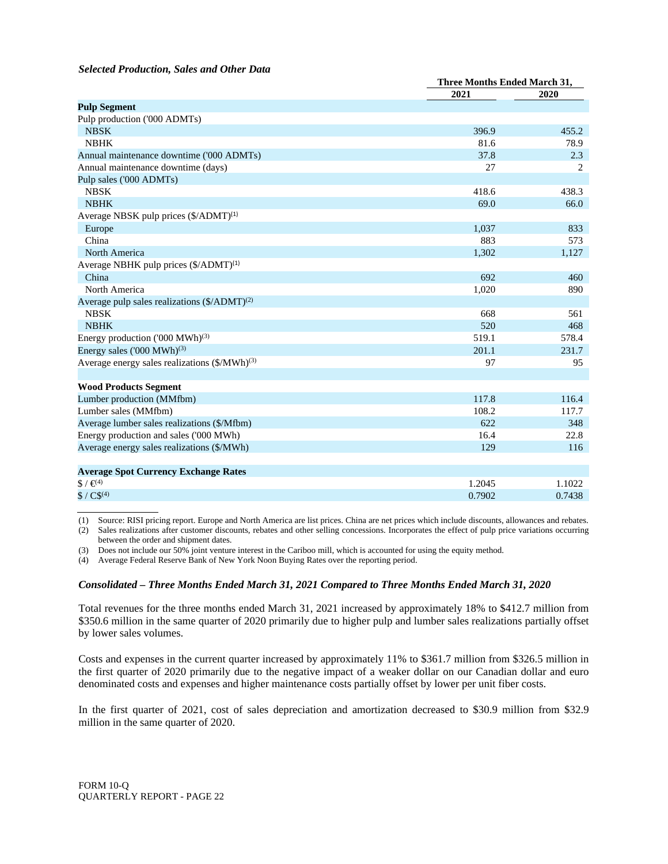#### *Selected Production, Sales and Other Data*

|                                                           | <b>Three Months Ended March 31,</b> |        |
|-----------------------------------------------------------|-------------------------------------|--------|
|                                                           | 2021                                | 2020   |
| <b>Pulp Segment</b>                                       |                                     |        |
| Pulp production ('000 ADMTs)                              |                                     |        |
| <b>NBSK</b>                                               | 396.9                               | 455.2  |
| <b>NBHK</b>                                               | 81.6                                | 78.9   |
| Annual maintenance downtime ('000 ADMTs)                  | 37.8                                | 2.3    |
| Annual maintenance downtime (days)                        | 27                                  | 2      |
| Pulp sales ('000 ADMTs)                                   |                                     |        |
| <b>NBSK</b>                                               | 418.6                               | 438.3  |
| <b>NBHK</b>                                               | 69.0                                | 66.0   |
| Average NBSK pulp prices (\$/ADMT) <sup>(1)</sup>         |                                     |        |
| Europe                                                    | 1,037                               | 833    |
| China                                                     | 883                                 | 573    |
| North America                                             | 1,302                               | 1,127  |
| Average NBHK pulp prices (\$/ADMT) <sup>(1)</sup>         |                                     |        |
| China                                                     | 692                                 | 460    |
| North America                                             | 1,020                               | 890    |
| Average pulp sales realizations $(\frac{5}{ADMT})^{(2)}$  |                                     |        |
| <b>NBSK</b>                                               | 668                                 | 561    |
| <b>NBHK</b>                                               | 520                                 | 468    |
| Energy production ('000 MWh) <sup>(3)</sup>               | 519.1                               | 578.4  |
| Energy sales ('000 MWh) <sup>(3)</sup>                    | 201.1                               | 231.7  |
| Average energy sales realizations $(\frac{5}{MWh})^{(3)}$ | 97                                  | 95     |
|                                                           |                                     |        |
| <b>Wood Products Segment</b>                              |                                     |        |
| Lumber production (MMfbm)                                 | 117.8                               | 116.4  |
| Lumber sales (MMfbm)                                      | 108.2                               | 117.7  |
| Average lumber sales realizations (\$/Mfbm)               | 622                                 | 348    |
| Energy production and sales ('000 MWh)                    | 16.4                                | 22.8   |
| Average energy sales realizations (\$/MWh)                | 129                                 | 116    |
|                                                           |                                     |        |
| <b>Average Spot Currency Exchange Rates</b>               |                                     |        |
| $$/ \infty$ <sup>49</sup>                                 | 1.2045                              | 1.1022 |
| $$ / C$^{(4)}$                                            | 0.7902                              | 0.7438 |

(1) Source: RISI pricing report. Europe and North America are list prices. China are net prices which include discounts, allowances and rebates.

(2) Sales realizations after customer discounts, rebates and other selling concessions. Incorporates the effect of pulp price variations occurring between the order and shipment dates.

(3) Does not include our 50% joint venture interest in the Cariboo mill, which is accounted for using the equity method.

(4) Average Federal Reserve Bank of New York Noon Buying Rates over the reporting period.

#### *Consolidated – Three Months Ended March 31, 2021 Compared to Three Months Ended March 31, 2020*

Total revenues for the three months ended March 31, 2021 increased by approximately 18% to \$412.7 million from \$350.6 million in the same quarter of 2020 primarily due to higher pulp and lumber sales realizations partially offset by lower sales volumes.

Costs and expenses in the current quarter increased by approximately 11% to \$361.7 million from \$326.5 million in the first quarter of 2020 primarily due to the negative impact of a weaker dollar on our Canadian dollar and euro denominated costs and expenses and higher maintenance costs partially offset by lower per unit fiber costs.

In the first quarter of 2021, cost of sales depreciation and amortization decreased to \$30.9 million from \$32.9 million in the same quarter of 2020.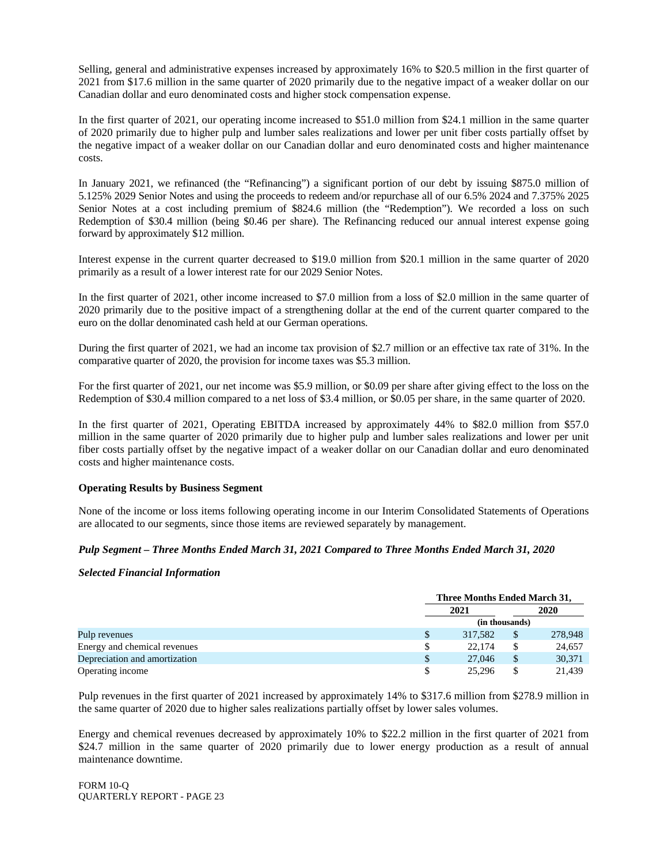Selling, general and administrative expenses increased by approximately 16% to \$20.5 million in the first quarter of 2021 from \$17.6 million in the same quarter of 2020 primarily due to the negative impact of a weaker dollar on our Canadian dollar and euro denominated costs and higher stock compensation expense.

In the first quarter of 2021, our operating income increased to \$51.0 million from \$24.1 million in the same quarter of 2020 primarily due to higher pulp and lumber sales realizations and lower per unit fiber costs partially offset by the negative impact of a weaker dollar on our Canadian dollar and euro denominated costs and higher maintenance costs.

In January 2021, we refinanced (the "Refinancing") a significant portion of our debt by issuing \$875.0 million of 5.125% 2029 Senior Notes and using the proceeds to redeem and/or repurchase all of our 6.5% 2024 and 7.375% 2025 Senior Notes at a cost including premium of \$824.6 million (the "Redemption"). We recorded a loss on such Redemption of \$30.4 million (being \$0.46 per share). The Refinancing reduced our annual interest expense going forward by approximately \$12 million.

Interest expense in the current quarter decreased to \$19.0 million from \$20.1 million in the same quarter of 2020 primarily as a result of a lower interest rate for our 2029 Senior Notes.

In the first quarter of 2021, other income increased to \$7.0 million from a loss of \$2.0 million in the same quarter of 2020 primarily due to the positive impact of a strengthening dollar at the end of the current quarter compared to the euro on the dollar denominated cash held at our German operations.

During the first quarter of 2021, we had an income tax provision of \$2.7 million or an effective tax rate of 31%. In the comparative quarter of 2020, the provision for income taxes was \$5.3 million.

For the first quarter of 2021, our net income was \$5.9 million, or \$0.09 per share after giving effect to the loss on the Redemption of \$30.4 million compared to a net loss of \$3.4 million, or \$0.05 per share, in the same quarter of 2020.

In the first quarter of 2021, Operating EBITDA increased by approximately 44% to \$82.0 million from \$57.0 million in the same quarter of 2020 primarily due to higher pulp and lumber sales realizations and lower per unit fiber costs partially offset by the negative impact of a weaker dollar on our Canadian dollar and euro denominated costs and higher maintenance costs.

#### **Operating Results by Business Segment**

None of the income or loss items following operating income in our Interim Consolidated Statements of Operations are allocated to our segments, since those items are reviewed separately by management.

#### *Pulp Segment – Three Months Ended March 31, 2021 Compared to Three Months Ended March 31, 2020*

#### *Selected Financial Information*

|                               | Three Months Ended March 31, |               |         |  |
|-------------------------------|------------------------------|---------------|---------|--|
|                               | 2021                         |               | 2020    |  |
|                               | (in thousands)               |               |         |  |
| Pulp revenues                 | 317.582                      | <sup>\$</sup> | 278,948 |  |
| Energy and chemical revenues  | 22,174                       |               | 24,657  |  |
| Depreciation and amortization | 27,046                       | \$            | 30,371  |  |
| Operating income              | 25,296                       |               | 21,439  |  |

Pulp revenues in the first quarter of 2021 increased by approximately 14% to \$317.6 million from \$278.9 million in the same quarter of 2020 due to higher sales realizations partially offset by lower sales volumes.

Energy and chemical revenues decreased by approximately 10% to \$22.2 million in the first quarter of 2021 from \$24.7 million in the same quarter of 2020 primarily due to lower energy production as a result of annual maintenance downtime.

FORM 10-Q QUARTERLY REPORT - PAGE 23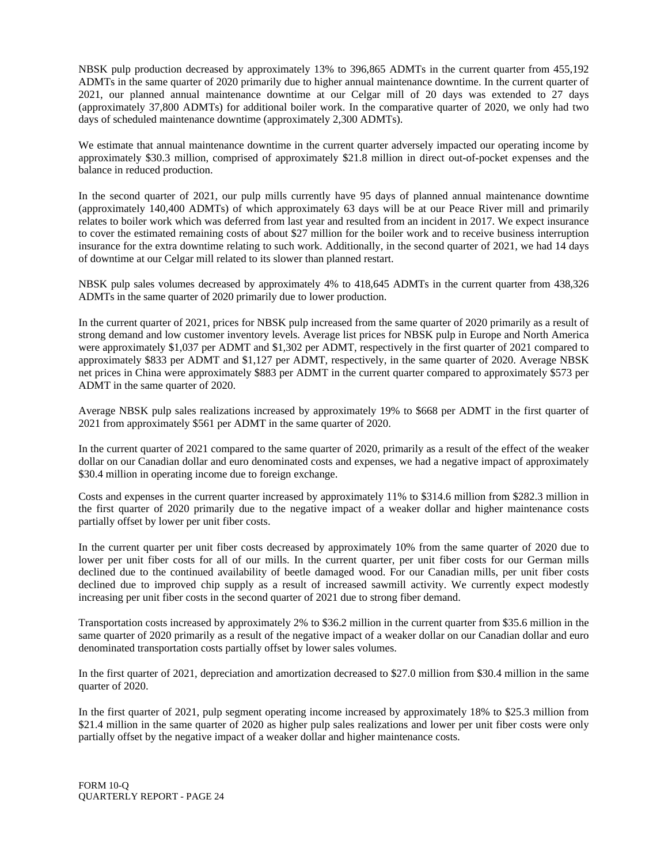NBSK pulp production decreased by approximately 13% to 396,865 ADMTs in the current quarter from 455,192 ADMTs in the same quarter of 2020 primarily due to higher annual maintenance downtime. In the current quarter of 2021, our planned annual maintenance downtime at our Celgar mill of 20 days was extended to 27 days (approximately 37,800 ADMTs) for additional boiler work. In the comparative quarter of 2020, we only had two days of scheduled maintenance downtime (approximately 2,300 ADMTs).

We estimate that annual maintenance downtime in the current quarter adversely impacted our operating income by approximately \$30.3 million, comprised of approximately \$21.8 million in direct out-of-pocket expenses and the balance in reduced production.

In the second quarter of 2021, our pulp mills currently have 95 days of planned annual maintenance downtime (approximately 140,400 ADMTs) of which approximately 63 days will be at our Peace River mill and primarily relates to boiler work which was deferred from last year and resulted from an incident in 2017. We expect insurance to cover the estimated remaining costs of about \$27 million for the boiler work and to receive business interruption insurance for the extra downtime relating to such work. Additionally, in the second quarter of 2021, we had 14 days of downtime at our Celgar mill related to its slower than planned restart.

NBSK pulp sales volumes decreased by approximately 4% to 418,645 ADMTs in the current quarter from 438,326 ADMTs in the same quarter of 2020 primarily due to lower production.

In the current quarter of 2021, prices for NBSK pulp increased from the same quarter of 2020 primarily as a result of strong demand and low customer inventory levels. Average list prices for NBSK pulp in Europe and North America were approximately \$1,037 per ADMT and \$1,302 per ADMT, respectively in the first quarter of 2021 compared to approximately \$833 per ADMT and \$1,127 per ADMT, respectively, in the same quarter of 2020. Average NBSK net prices in China were approximately \$883 per ADMT in the current quarter compared to approximately \$573 per ADMT in the same quarter of 2020.

Average NBSK pulp sales realizations increased by approximately 19% to \$668 per ADMT in the first quarter of 2021 from approximately \$561 per ADMT in the same quarter of 2020.

In the current quarter of 2021 compared to the same quarter of 2020, primarily as a result of the effect of the weaker dollar on our Canadian dollar and euro denominated costs and expenses, we had a negative impact of approximately \$30.4 million in operating income due to foreign exchange.

Costs and expenses in the current quarter increased by approximately 11% to \$314.6 million from \$282.3 million in the first quarter of 2020 primarily due to the negative impact of a weaker dollar and higher maintenance costs partially offset by lower per unit fiber costs.

In the current quarter per unit fiber costs decreased by approximately 10% from the same quarter of 2020 due to lower per unit fiber costs for all of our mills. In the current quarter, per unit fiber costs for our German mills declined due to the continued availability of beetle damaged wood. For our Canadian mills, per unit fiber costs declined due to improved chip supply as a result of increased sawmill activity. We currently expect modestly increasing per unit fiber costs in the second quarter of 2021 due to strong fiber demand.

Transportation costs increased by approximately 2% to \$36.2 million in the current quarter from \$35.6 million in the same quarter of 2020 primarily as a result of the negative impact of a weaker dollar on our Canadian dollar and euro denominated transportation costs partially offset by lower sales volumes.

In the first quarter of 2021, depreciation and amortization decreased to \$27.0 million from \$30.4 million in the same quarter of 2020.

In the first quarter of 2021, pulp segment operating income increased by approximately 18% to \$25.3 million from \$21.4 million in the same quarter of 2020 as higher pulp sales realizations and lower per unit fiber costs were only partially offset by the negative impact of a weaker dollar and higher maintenance costs.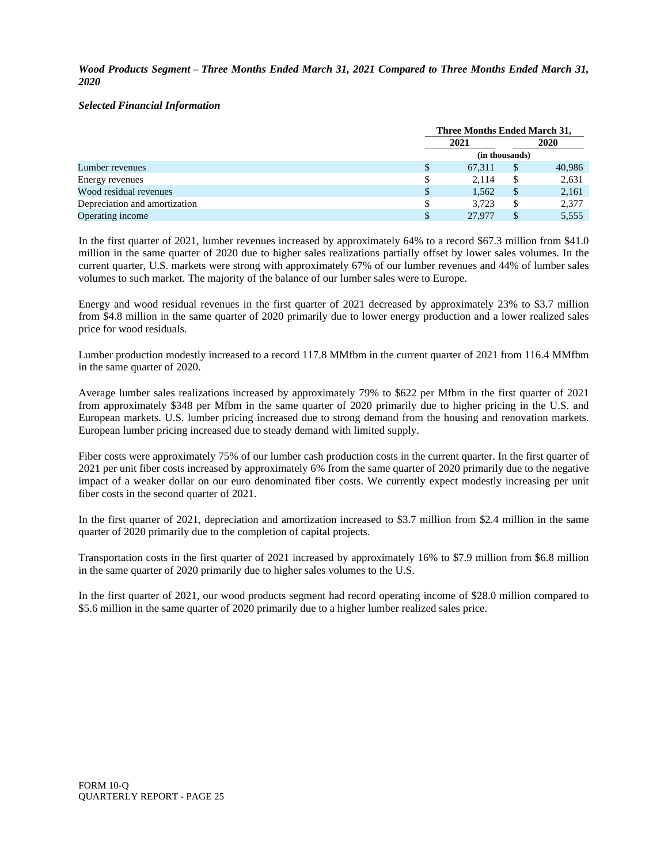*Wood Products Segment – Three Months Ended March 31, 2021 Compared to Three Months Ended March 31, 2020*

#### *Selected Financial Information*

|                               | Three Months Ended March 31, |                |        |  |
|-------------------------------|------------------------------|----------------|--------|--|
|                               | 2021                         |                | 2020   |  |
|                               |                              | (in thousands) |        |  |
| Lumber revenues               | 67.311                       | \$             | 40,986 |  |
| Energy revenues               | 2.114                        | S              | 2,631  |  |
| Wood residual revenues        | 1,562                        | \$             | 2,161  |  |
| Depreciation and amortization | 3.723                        | \$             | 2,377  |  |
| Operating income              | 27,977                       |                | 5,555  |  |

In the first quarter of 2021, lumber revenues increased by approximately 64% to a record \$67.3 million from \$41.0 million in the same quarter of 2020 due to higher sales realizations partially offset by lower sales volumes. In the current quarter, U.S. markets were strong with approximately 67% of our lumber revenues and 44% of lumber sales volumes to such market. The majority of the balance of our lumber sales were to Europe.

Energy and wood residual revenues in the first quarter of 2021 decreased by approximately 23% to \$3.7 million from \$4.8 million in the same quarter of 2020 primarily due to lower energy production and a lower realized sales price for wood residuals.

Lumber production modestly increased to a record 117.8 MMfbm in the current quarter of 2021 from 116.4 MMfbm in the same quarter of 2020.

Average lumber sales realizations increased by approximately 79% to \$622 per Mfbm in the first quarter of 2021 from approximately \$348 per Mfbm in the same quarter of 2020 primarily due to higher pricing in the U.S. and European markets. U.S. lumber pricing increased due to strong demand from the housing and renovation markets. European lumber pricing increased due to steady demand with limited supply.

Fiber costs were approximately 75% of our lumber cash production costs in the current quarter. In the first quarter of 2021 per unit fiber costs increased by approximately 6% from the same quarter of 2020 primarily due to the negative impact of a weaker dollar on our euro denominated fiber costs. We currently expect modestly increasing per unit fiber costs in the second quarter of 2021.

In the first quarter of 2021, depreciation and amortization increased to \$3.7 million from \$2.4 million in the same quarter of 2020 primarily due to the completion of capital projects.

Transportation costs in the first quarter of 2021 increased by approximately 16% to \$7.9 million from \$6.8 million in the same quarter of 2020 primarily due to higher sales volumes to the U.S.

In the first quarter of 2021, our wood products segment had record operating income of \$28.0 million compared to \$5.6 million in the same quarter of 2020 primarily due to a higher lumber realized sales price.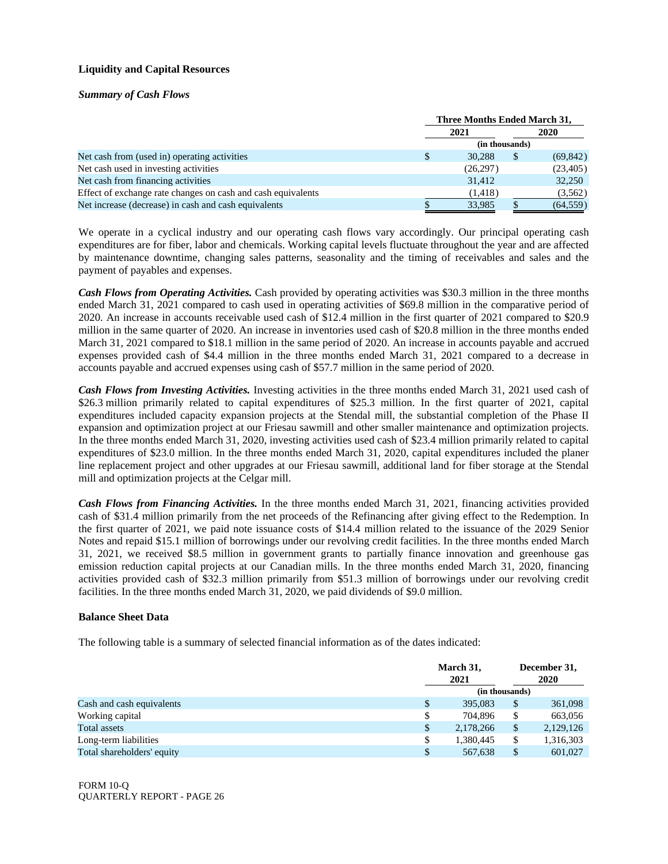#### **Liquidity and Capital Resources**

#### *Summary of Cash Flows*

|                                                              |      | Three Months Ended March 31, |             |           |  |
|--------------------------------------------------------------|------|------------------------------|-------------|-----------|--|
|                                                              | 2021 |                              | <b>2020</b> |           |  |
|                                                              |      | (in thousands)               |             |           |  |
| Net cash from (used in) operating activities                 |      | 30.288                       | \$          | (69, 842) |  |
| Net cash used in investing activities                        |      | (26,297)                     |             | (23, 405) |  |
| Net cash from financing activities                           |      | 31,412                       |             | 32,250    |  |
| Effect of exchange rate changes on cash and cash equivalents |      | (1,418)                      |             | (3,562)   |  |
| Net increase (decrease) in cash and cash equivalents         |      | 33,985                       |             | (64, 559) |  |

We operate in a cyclical industry and our operating cash flows vary accordingly. Our principal operating cash expenditures are for fiber, labor and chemicals. Working capital levels fluctuate throughout the year and are affected by maintenance downtime, changing sales patterns, seasonality and the timing of receivables and sales and the payment of payables and expenses.

*Cash Flows from Operating Activities.* Cash provided by operating activities was \$30.3 million in the three months ended March 31, 2021 compared to cash used in operating activities of \$69.8 million in the comparative period of 2020. An increase in accounts receivable used cash of \$12.4 million in the first quarter of 2021 compared to \$20.9 million in the same quarter of 2020. An increase in inventories used cash of \$20.8 million in the three months ended March 31, 2021 compared to \$18.1 million in the same period of 2020. An increase in accounts payable and accrued expenses provided cash of \$4.4 million in the three months ended March 31, 2021 compared to a decrease in accounts payable and accrued expenses using cash of \$57.7 million in the same period of 2020.

*Cash Flows from Investing Activities.* Investing activities in the three months ended March 31, 2021 used cash of \$26.3 million primarily related to capital expenditures of \$25.3 million. In the first quarter of 2021, capital expenditures included capacity expansion projects at the Stendal mill, the substantial completion of the Phase II expansion and optimization project at our Friesau sawmill and other smaller maintenance and optimization projects. In the three months ended March 31, 2020, investing activities used cash of \$23.4 million primarily related to capital expenditures of \$23.0 million. In the three months ended March 31, 2020, capital expenditures included the planer line replacement project and other upgrades at our Friesau sawmill, additional land for fiber storage at the Stendal mill and optimization projects at the Celgar mill.

*Cash Flows from Financing Activities.* In the three months ended March 31, 2021, financing activities provided cash of \$31.4 million primarily from the net proceeds of the Refinancing after giving effect to the Redemption. In the first quarter of 2021, we paid note issuance costs of \$14.4 million related to the issuance of the 2029 Senior Notes and repaid \$15.1 million of borrowings under our revolving credit facilities. In the three months ended March 31, 2021, we received \$8.5 million in government grants to partially finance innovation and greenhouse gas emission reduction capital projects at our Canadian mills. In the three months ended March 31, 2020, financing activities provided cash of \$32.3 million primarily from \$51.3 million of borrowings under our revolving credit facilities. In the three months ended March 31, 2020, we paid dividends of \$9.0 million.

#### **Balance Sheet Data**

The following table is a summary of selected financial information as of the dates indicated:

|                            | March 31,<br>2021 |                | December 31,<br>2020 |  |
|----------------------------|-------------------|----------------|----------------------|--|
|                            |                   | (in thousands) |                      |  |
| Cash and cash equivalents  | 395,083           | \$             | 361,098              |  |
| Working capital            | 704.896           | \$             | 663,056              |  |
| <b>Total assets</b>        | \$<br>2,178,266   | \$             | 2,129,126            |  |
| Long-term liabilities      | 1,380,445         | \$             | 1,316,303            |  |
| Total shareholders' equity | 567,638           | \$             | 601,027              |  |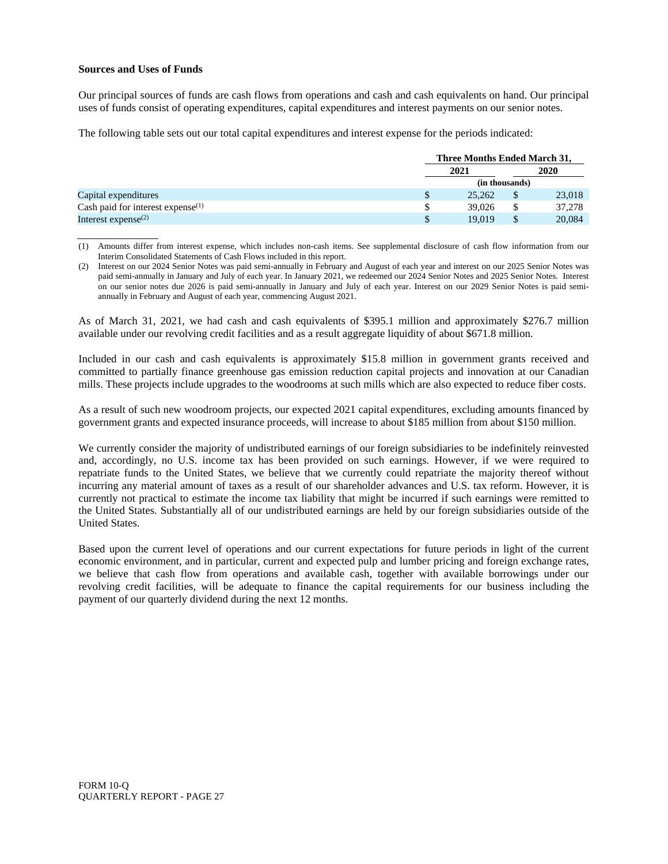#### **Sources and Uses of Funds**

Our principal sources of funds are cash flows from operations and cash and cash equivalents on hand. Our principal uses of funds consist of operating expenditures, capital expenditures and interest payments on our senior notes.

The following table sets out our total capital expenditures and interest expense for the periods indicated:

|                                               |      | Three Months Ended March 31, |      |        |  |
|-----------------------------------------------|------|------------------------------|------|--------|--|
|                                               | 2021 |                              | 2020 |        |  |
|                                               |      | (in thousands)               |      |        |  |
| Capital expenditures                          |      | 25,262                       |      | 23,018 |  |
| Cash paid for interest expense <sup>(1)</sup> |      | 39,026                       | \$   | 37,278 |  |
| Interest expense $^{(2)}$                     |      | 19.019                       |      | 20,084 |  |

<sup>(1)</sup> Amounts differ from interest expense, which includes non-cash items. See supplemental disclosure of cash flow information from our Interim Consolidated Statements of Cash Flows included in this report.

As of March 31, 2021, we had cash and cash equivalents of \$395.1 million and approximately \$276.7 million available under our revolving credit facilities and as a result aggregate liquidity of about \$671.8 million.

Included in our cash and cash equivalents is approximately \$15.8 million in government grants received and committed to partially finance greenhouse gas emission reduction capital projects and innovation at our Canadian mills. These projects include upgrades to the woodrooms at such mills which are also expected to reduce fiber costs.

As a result of such new woodroom projects, our expected 2021 capital expenditures, excluding amounts financed by government grants and expected insurance proceeds, will increase to about \$185 million from about \$150 million.

We currently consider the majority of undistributed earnings of our foreign subsidiaries to be indefinitely reinvested and, accordingly, no U.S. income tax has been provided on such earnings. However, if we were required to repatriate funds to the United States, we believe that we currently could repatriate the majority thereof without incurring any material amount of taxes as a result of our shareholder advances and U.S. tax reform. However, it is currently not practical to estimate the income tax liability that might be incurred if such earnings were remitted to the United States. Substantially all of our undistributed earnings are held by our foreign subsidiaries outside of the United States.

Based upon the current level of operations and our current expectations for future periods in light of the current economic environment, and in particular, current and expected pulp and lumber pricing and foreign exchange rates, we believe that cash flow from operations and available cash, together with available borrowings under our revolving credit facilities, will be adequate to finance the capital requirements for our business including the payment of our quarterly dividend during the next 12 months.

<sup>(2)</sup> Interest on our 2024 Senior Notes was paid semi-annually in February and August of each year and interest on our 2025 Senior Notes was paid semi-annually in January and July of each year. In January 2021, we redeemed our 2024 Senior Notes and 2025 Senior Notes. Interest on our senior notes due 2026 is paid semi-annually in January and July of each year. Interest on our 2029 Senior Notes is paid semiannually in February and August of each year, commencing August 2021.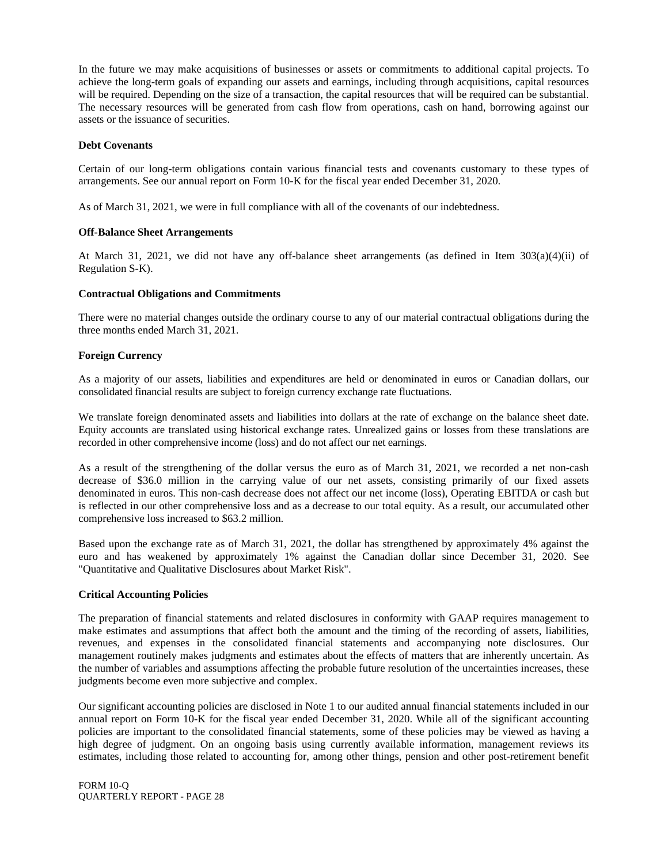In the future we may make acquisitions of businesses or assets or commitments to additional capital projects. To achieve the long-term goals of expanding our assets and earnings, including through acquisitions, capital resources will be required. Depending on the size of a transaction, the capital resources that will be required can be substantial. The necessary resources will be generated from cash flow from operations, cash on hand, borrowing against our assets or the issuance of securities.

#### **Debt Covenants**

Certain of our long-term obligations contain various financial tests and covenants customary to these types of arrangements. See our annual report on Form 10-K for the fiscal year ended December 31, 2020.

As of March 31, 2021, we were in full compliance with all of the covenants of our indebtedness.

#### **Off-Balance Sheet Arrangements**

At March 31, 2021, we did not have any off-balance sheet arrangements (as defined in Item  $303(a)(4)(ii)$  of Regulation S-K).

#### **Contractual Obligations and Commitments**

There were no material changes outside the ordinary course to any of our material contractual obligations during the three months ended March 31, 2021.

#### **Foreign Currency**

As a majority of our assets, liabilities and expenditures are held or denominated in euros or Canadian dollars, our consolidated financial results are subject to foreign currency exchange rate fluctuations.

We translate foreign denominated assets and liabilities into dollars at the rate of exchange on the balance sheet date. Equity accounts are translated using historical exchange rates. Unrealized gains or losses from these translations are recorded in other comprehensive income (loss) and do not affect our net earnings.

As a result of the strengthening of the dollar versus the euro as of March 31, 2021, we recorded a net non-cash decrease of \$36.0 million in the carrying value of our net assets, consisting primarily of our fixed assets denominated in euros. This non-cash decrease does not affect our net income (loss), Operating EBITDA or cash but is reflected in our other comprehensive loss and as a decrease to our total equity. As a result, our accumulated other comprehensive loss increased to \$63.2 million.

Based upon the exchange rate as of March 31, 2021, the dollar has strengthened by approximately 4% against the euro and has weakened by approximately 1% against the Canadian dollar since December 31, 2020. See "Quantitative and Qualitative Disclosures about Market Risk".

#### **Critical Accounting Policies**

The preparation of financial statements and related disclosures in conformity with GAAP requires management to make estimates and assumptions that affect both the amount and the timing of the recording of assets, liabilities, revenues, and expenses in the consolidated financial statements and accompanying note disclosures. Our management routinely makes judgments and estimates about the effects of matters that are inherently uncertain. As the number of variables and assumptions affecting the probable future resolution of the uncertainties increases, these judgments become even more subjective and complex.

Our significant accounting policies are disclosed in Note 1 to our audited annual financial statements included in our annual report on Form 10-K for the fiscal year ended December 31, 2020. While all of the significant accounting policies are important to the consolidated financial statements, some of these policies may be viewed as having a high degree of judgment. On an ongoing basis using currently available information, management reviews its estimates, including those related to accounting for, among other things, pension and other post-retirement benefit

FORM 10-Q QUARTERLY REPORT - PAGE 28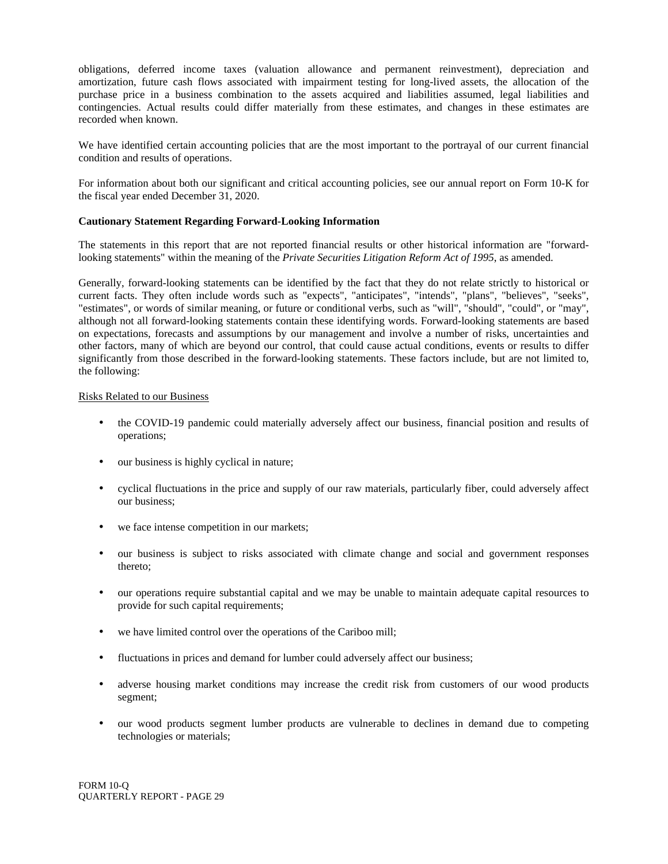obligations, deferred income taxes (valuation allowance and permanent reinvestment), depreciation and amortization, future cash flows associated with impairment testing for long-lived assets, the allocation of the purchase price in a business combination to the assets acquired and liabilities assumed, legal liabilities and contingencies. Actual results could differ materially from these estimates, and changes in these estimates are recorded when known.

We have identified certain accounting policies that are the most important to the portrayal of our current financial condition and results of operations.

For information about both our significant and critical accounting policies, see our annual report on Form 10-K for the fiscal year ended December 31, 2020.

#### **Cautionary Statement Regarding Forward-Looking Information**

The statements in this report that are not reported financial results or other historical information are "forwardlooking statements" within the meaning of the *Private Securities Litigation Reform Act of 1995*, as amended.

Generally, forward-looking statements can be identified by the fact that they do not relate strictly to historical or current facts. They often include words such as "expects", "anticipates", "intends", "plans", "believes", "seeks", "estimates", or words of similar meaning, or future or conditional verbs, such as "will", "should", "could", or "may", although not all forward-looking statements contain these identifying words. Forward-looking statements are based on expectations, forecasts and assumptions by our management and involve a number of risks, uncertainties and other factors, many of which are beyond our control, that could cause actual conditions, events or results to differ significantly from those described in the forward-looking statements. These factors include, but are not limited to, the following:

#### Risks Related to our Business

- the COVID-19 pandemic could materially adversely affect our business, financial position and results of operations;
- our business is highly cyclical in nature;
- cyclical fluctuations in the price and supply of our raw materials, particularly fiber, could adversely affect our business;
- we face intense competition in our markets;
- our business is subject to risks associated with climate change and social and government responses thereto;
- our operations require substantial capital and we may be unable to maintain adequate capital resources to provide for such capital requirements;
- we have limited control over the operations of the Cariboo mill;
- fluctuations in prices and demand for lumber could adversely affect our business;
- adverse housing market conditions may increase the credit risk from customers of our wood products segment;
- our wood products segment lumber products are vulnerable to declines in demand due to competing technologies or materials;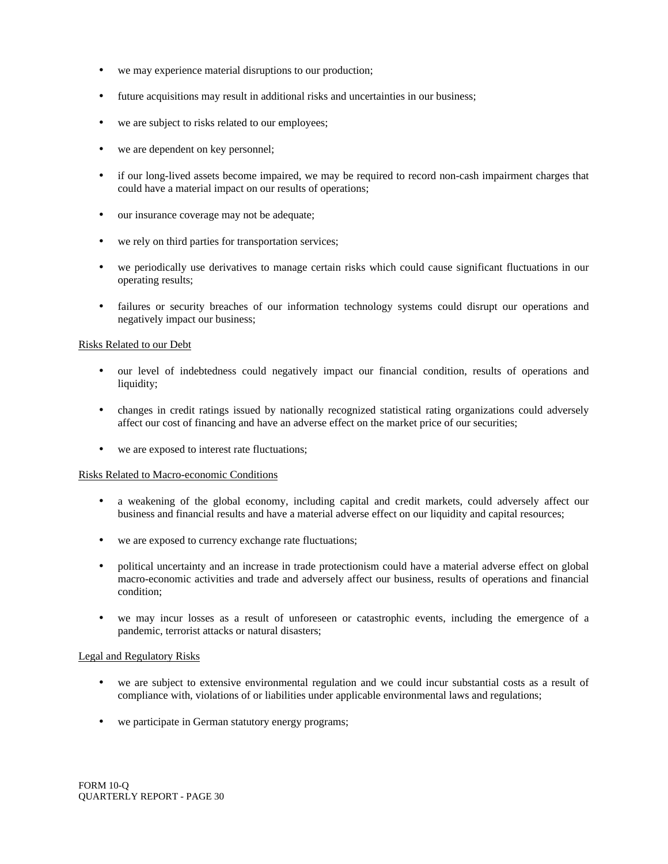- we may experience material disruptions to our production;
- future acquisitions may result in additional risks and uncertainties in our business;
- we are subject to risks related to our employees;
- we are dependent on key personnel;
- if our long-lived assets become impaired, we may be required to record non-cash impairment charges that could have a material impact on our results of operations;
- our insurance coverage may not be adequate;
- we rely on third parties for transportation services;
- we periodically use derivatives to manage certain risks which could cause significant fluctuations in our operating results;
- failures or security breaches of our information technology systems could disrupt our operations and negatively impact our business;

#### Risks Related to our Debt

- our level of indebtedness could negatively impact our financial condition, results of operations and liquidity;
- changes in credit ratings issued by nationally recognized statistical rating organizations could adversely affect our cost of financing and have an adverse effect on the market price of our securities;
- we are exposed to interest rate fluctuations;

#### Risks Related to Macro-economic Conditions

- a weakening of the global economy, including capital and credit markets, could adversely affect our business and financial results and have a material adverse effect on our liquidity and capital resources;
- we are exposed to currency exchange rate fluctuations;
- political uncertainty and an increase in trade protectionism could have a material adverse effect on global macro-economic activities and trade and adversely affect our business, results of operations and financial condition;
- we may incur losses as a result of unforeseen or catastrophic events, including the emergence of a pandemic, terrorist attacks or natural disasters;

#### Legal and Regulatory Risks

- we are subject to extensive environmental regulation and we could incur substantial costs as a result of compliance with, violations of or liabilities under applicable environmental laws and regulations;
- we participate in German statutory energy programs;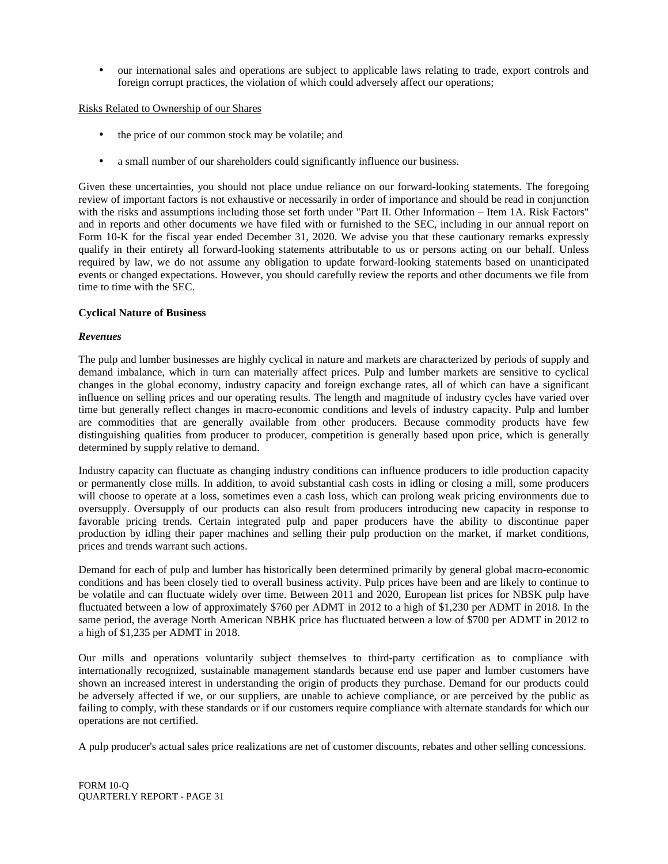• our international sales and operations are subject to applicable laws relating to trade, export controls and foreign corrupt practices, the violation of which could adversely affect our operations;

#### Risks Related to Ownership of our Shares

- the price of our common stock may be volatile; and
- a small number of our shareholders could significantly influence our business.

Given these uncertainties, you should not place undue reliance on our forward-looking statements. The foregoing review of important factors is not exhaustive or necessarily in order of importance and should be read in conjunction with the risks and assumptions including those set forth under "Part II. Other Information – Item 1A. Risk Factors" and in reports and other documents we have filed with or furnished to the SEC, including in our annual report on Form 10-K for the fiscal year ended December 31, 2020. We advise you that these cautionary remarks expressly qualify in their entirety all forward-looking statements attributable to us or persons acting on our behalf. Unless required by law, we do not assume any obligation to update forward-looking statements based on unanticipated events or changed expectations. However, you should carefully review the reports and other documents we file from time to time with the SEC.

#### **Cyclical Nature of Business**

#### *Revenues*

The pulp and lumber businesses are highly cyclical in nature and markets are characterized by periods of supply and demand imbalance, which in turn can materially affect prices. Pulp and lumber markets are sensitive to cyclical changes in the global economy, industry capacity and foreign exchange rates, all of which can have a significant influence on selling prices and our operating results. The length and magnitude of industry cycles have varied over time but generally reflect changes in macro-economic conditions and levels of industry capacity. Pulp and lumber are commodities that are generally available from other producers. Because commodity products have few distinguishing qualities from producer to producer, competition is generally based upon price, which is generally determined by supply relative to demand.

Industry capacity can fluctuate as changing industry conditions can influence producers to idle production capacity or permanently close mills. In addition, to avoid substantial cash costs in idling or closing a mill, some producers will choose to operate at a loss, sometimes even a cash loss, which can prolong weak pricing environments due to oversupply. Oversupply of our products can also result from producers introducing new capacity in response to favorable pricing trends. Certain integrated pulp and paper producers have the ability to discontinue paper production by idling their paper machines and selling their pulp production on the market, if market conditions, prices and trends warrant such actions.

Demand for each of pulp and lumber has historically been determined primarily by general global macro-economic conditions and has been closely tied to overall business activity. Pulp prices have been and are likely to continue to be volatile and can fluctuate widely over time. Between 2011 and 2020, European list prices for NBSK pulp have fluctuated between a low of approximately \$760 per ADMT in 2012 to a high of \$1,230 per ADMT in 2018. In the same period, the average North American NBHK price has fluctuated between a low of \$700 per ADMT in 2012 to a high of \$1,235 per ADMT in 2018.

Our mills and operations voluntarily subject themselves to third-party certification as to compliance with internationally recognized, sustainable management standards because end use paper and lumber customers have shown an increased interest in understanding the origin of products they purchase. Demand for our products could be adversely affected if we, or our suppliers, are unable to achieve compliance, or are perceived by the public as failing to comply, with these standards or if our customers require compliance with alternate standards for which our operations are not certified.

A pulp producer's actual sales price realizations are net of customer discounts, rebates and other selling concessions.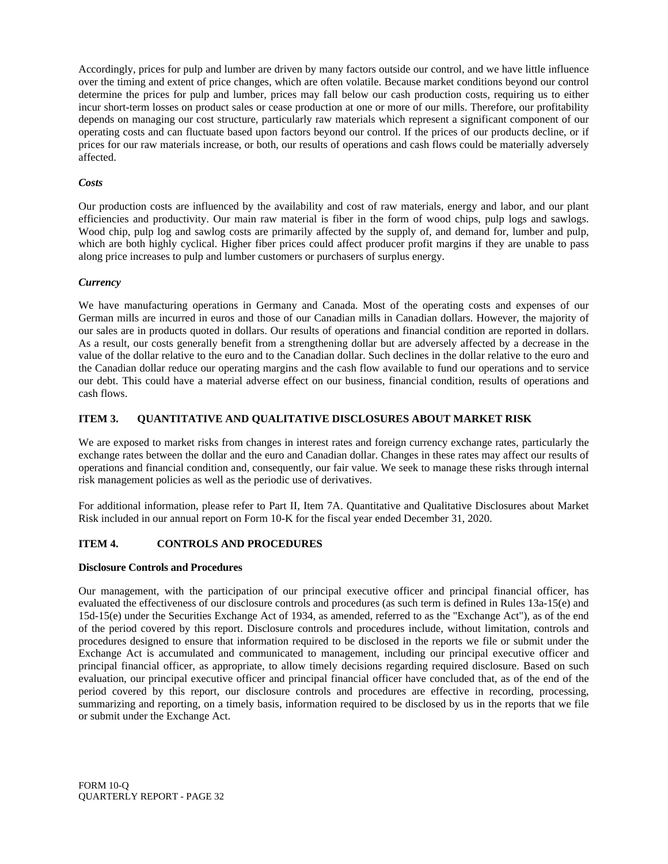Accordingly, prices for pulp and lumber are driven by many factors outside our control, and we have little influence over the timing and extent of price changes, which are often volatile. Because market conditions beyond our control determine the prices for pulp and lumber, prices may fall below our cash production costs, requiring us to either incur short-term losses on product sales or cease production at one or more of our mills. Therefore, our profitability depends on managing our cost structure, particularly raw materials which represent a significant component of our operating costs and can fluctuate based upon factors beyond our control. If the prices of our products decline, or if prices for our raw materials increase, or both, our results of operations and cash flows could be materially adversely affected.

#### *Costs*

Our production costs are influenced by the availability and cost of raw materials, energy and labor, and our plant efficiencies and productivity. Our main raw material is fiber in the form of wood chips, pulp logs and sawlogs. Wood chip, pulp log and sawlog costs are primarily affected by the supply of, and demand for, lumber and pulp, which are both highly cyclical. Higher fiber prices could affect producer profit margins if they are unable to pass along price increases to pulp and lumber customers or purchasers of surplus energy.

#### *Currency*

We have manufacturing operations in Germany and Canada. Most of the operating costs and expenses of our German mills are incurred in euros and those of our Canadian mills in Canadian dollars. However, the majority of our sales are in products quoted in dollars. Our results of operations and financial condition are reported in dollars. As a result, our costs generally benefit from a strengthening dollar but are adversely affected by a decrease in the value of the dollar relative to the euro and to the Canadian dollar. Such declines in the dollar relative to the euro and the Canadian dollar reduce our operating margins and the cash flow available to fund our operations and to service our debt. This could have a material adverse effect on our business, financial condition, results of operations and cash flows.

#### **ITEM 3. QUANTITATIVE AND QUALITATIVE DISCLOSURES ABOUT MARKET RISK**

We are exposed to market risks from changes in interest rates and foreign currency exchange rates, particularly the exchange rates between the dollar and the euro and Canadian dollar. Changes in these rates may affect our results of operations and financial condition and, consequently, our fair value. We seek to manage these risks through internal risk management policies as well as the periodic use of derivatives.

For additional information, please refer to Part II, Item 7A. Quantitative and Qualitative Disclosures about Market Risk included in our annual report on Form 10-K for the fiscal year ended December 31, 2020.

#### **ITEM 4. CONTROLS AND PROCEDURES**

#### **Disclosure Controls and Procedures**

Our management, with the participation of our principal executive officer and principal financial officer, has evaluated the effectiveness of our disclosure controls and procedures (as such term is defined in Rules 13a-15(e) and 15d-15(e) under the Securities Exchange Act of 1934, as amended, referred to as the "Exchange Act"), as of the end of the period covered by this report. Disclosure controls and procedures include, without limitation, controls and procedures designed to ensure that information required to be disclosed in the reports we file or submit under the Exchange Act is accumulated and communicated to management, including our principal executive officer and principal financial officer, as appropriate, to allow timely decisions regarding required disclosure. Based on such evaluation, our principal executive officer and principal financial officer have concluded that, as of the end of the period covered by this report, our disclosure controls and procedures are effective in recording, processing, summarizing and reporting, on a timely basis, information required to be disclosed by us in the reports that we file or submit under the Exchange Act.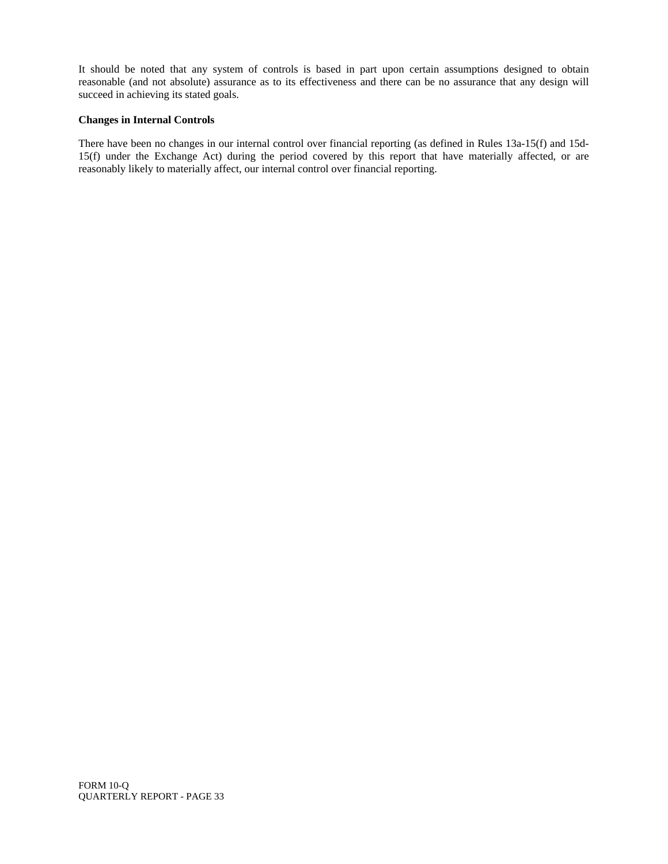It should be noted that any system of controls is based in part upon certain assumptions designed to obtain reasonable (and not absolute) assurance as to its effectiveness and there can be no assurance that any design will succeed in achieving its stated goals.

#### **Changes in Internal Controls**

There have been no changes in our internal control over financial reporting (as defined in Rules 13a-15(f) and 15d-15(f) under the Exchange Act) during the period covered by this report that have materially affected, or are reasonably likely to materially affect, our internal control over financial reporting.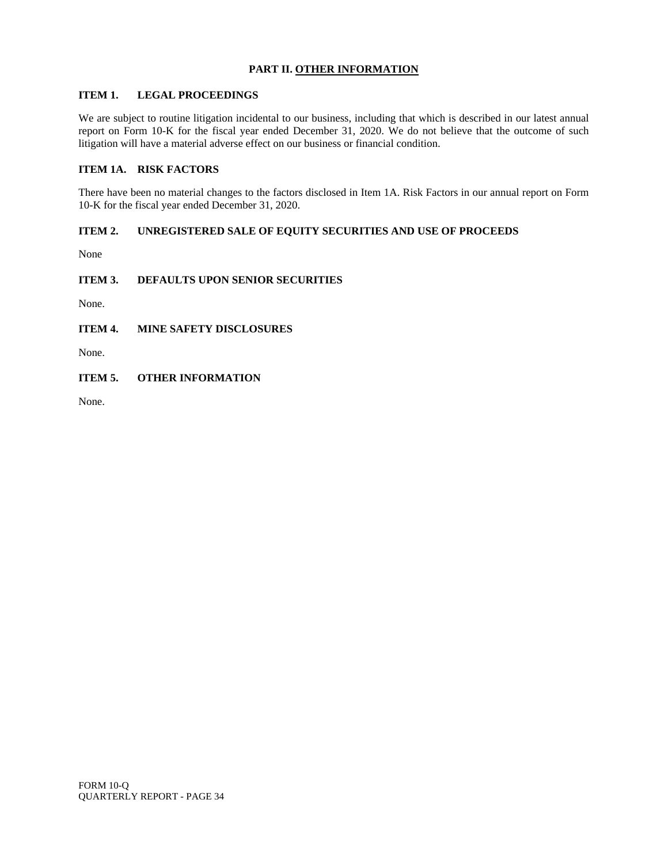#### **PART II. OTHER INFORMATION**

#### **ITEM 1. LEGAL PROCEEDINGS**

We are subject to routine litigation incidental to our business, including that which is described in our latest annual report on Form 10-K for the fiscal year ended December 31, 2020. We do not believe that the outcome of such litigation will have a material adverse effect on our business or financial condition.

#### **ITEM 1A. RISK FACTORS**

There have been no material changes to the factors disclosed in Item 1A. Risk Factors in our annual report on Form 10-K for the fiscal year ended December 31, 2020.

#### **ITEM 2. UNREGISTERED SALE OF EQUITY SECURITIES AND USE OF PROCEEDS**

None

#### **ITEM 3. DEFAULTS UPON SENIOR SECURITIES**

None.

#### **ITEM 4. MINE SAFETY DISCLOSURES**

None.

#### **ITEM 5. OTHER INFORMATION**

None.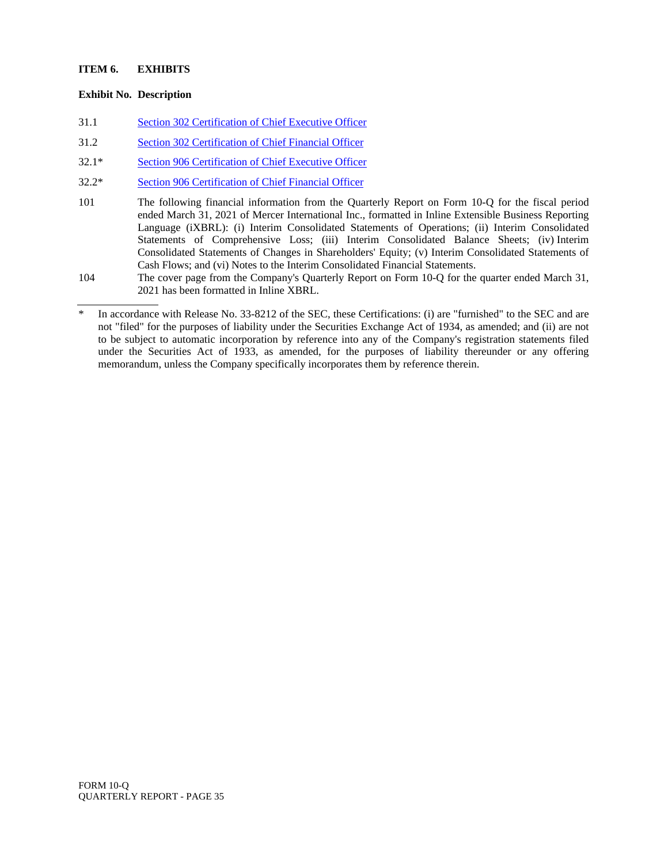#### **ITEM 6. EXHIBITS**

#### **Exhibit No. Description**

- 31.1 [Section 302 Certification of Chief Executive Officer](merc-ex311_7.htm)
- 31.2 [Section 302 Certification of Chief Financial Officer](merc-ex312_6.htm)
- 32.1\* [Section 906 Certification of Chief Executive Officer](merc-ex321_9.htm)
- 32.2\* [Section 906 Certification of Chief Financial Officer](merc-ex322_8.htm)
- 101 The following financial information from the Quarterly Report on Form 10-Q for the fiscal period ended March 31, 2021 of Mercer International Inc., formatted in Inline Extensible Business Reporting Language (iXBRL): (i) Interim Consolidated Statements of Operations; (ii) Interim Consolidated Statements of Comprehensive Loss; (iii) Interim Consolidated Balance Sheets; (iv) Interim Consolidated Statements of Changes in Shareholders' Equity; (v) Interim Consolidated Statements of Cash Flows; and (vi) Notes to the Interim Consolidated Financial Statements.
- 104 The cover page from the Company's Quarterly Report on Form 10-Q for the quarter ended March 31, 2021 has been formatted in Inline XBRL.

<sup>\*</sup> In accordance with Release No. 33-8212 of the SEC, these Certifications: (i) are "furnished" to the SEC and are not "filed" for the purposes of liability under the Securities Exchange Act of 1934, as amended; and (ii) are not to be subject to automatic incorporation by reference into any of the Company's registration statements filed under the Securities Act of 1933, as amended, for the purposes of liability thereunder or any offering memorandum, unless the Company specifically incorporates them by reference therein.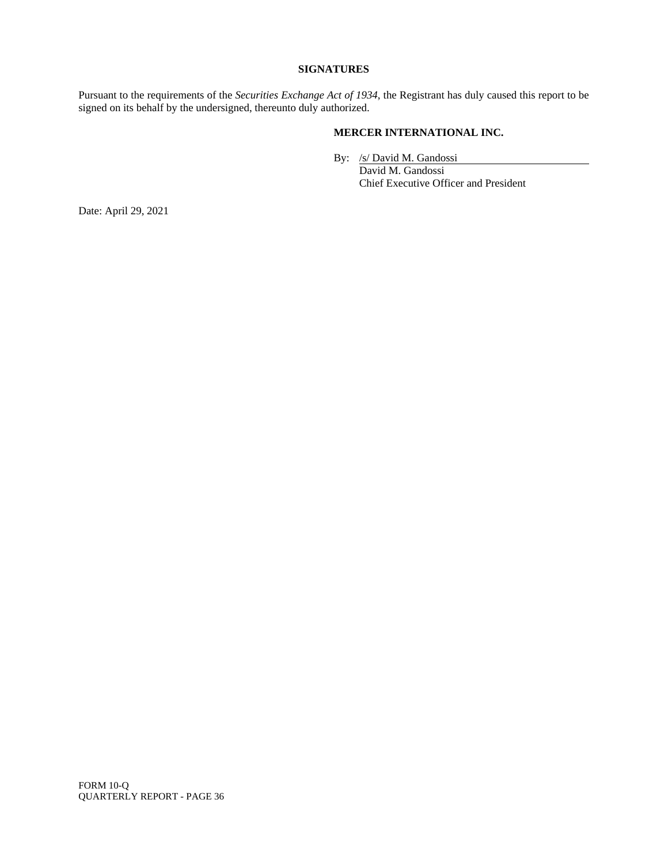#### **SIGNATURES**

Pursuant to the requirements of the *Securities Exchange Act of 1934*, the Registrant has duly caused this report to be signed on its behalf by the undersigned, thereunto duly authorized.

#### **MERCER INTERNATIONAL INC.**

By: /s/ David M. Gandossi

David M. Gandossi Chief Executive Officer and President

Date: April 29, 2021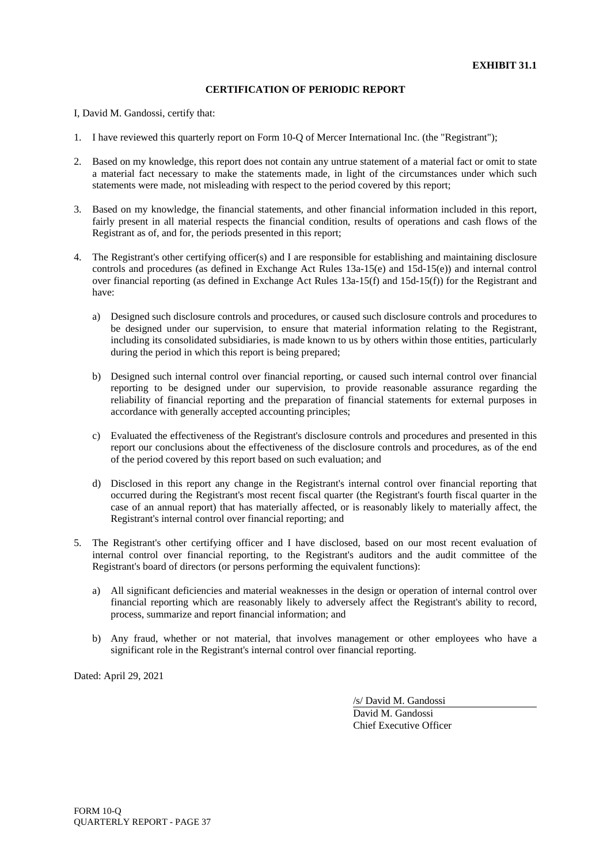I, David M. Gandossi, certify that:

- 1. I have reviewed this quarterly report on Form 10-Q of Mercer International Inc. (the "Registrant");
- 2. Based on my knowledge, this report does not contain any untrue statement of a material fact or omit to state a material fact necessary to make the statements made, in light of the circumstances under which such statements were made, not misleading with respect to the period covered by this report;
- 3. Based on my knowledge, the financial statements, and other financial information included in this report, fairly present in all material respects the financial condition, results of operations and cash flows of the Registrant as of, and for, the periods presented in this report;
- 4. The Registrant's other certifying officer(s) and I are responsible for establishing and maintaining disclosure controls and procedures (as defined in Exchange Act Rules 13a-15(e) and 15d-15(e)) and internal control over financial reporting (as defined in Exchange Act Rules 13a-15(f) and 15d-15(f)) for the Registrant and have:
	- a) Designed such disclosure controls and procedures, or caused such disclosure controls and procedures to be designed under our supervision, to ensure that material information relating to the Registrant, including its consolidated subsidiaries, is made known to us by others within those entities, particularly during the period in which this report is being prepared;
	- b) Designed such internal control over financial reporting, or caused such internal control over financial reporting to be designed under our supervision, to provide reasonable assurance regarding the reliability of financial reporting and the preparation of financial statements for external purposes in accordance with generally accepted accounting principles;
	- c) Evaluated the effectiveness of the Registrant's disclosure controls and procedures and presented in this report our conclusions about the effectiveness of the disclosure controls and procedures, as of the end of the period covered by this report based on such evaluation; and
	- d) Disclosed in this report any change in the Registrant's internal control over financial reporting that occurred during the Registrant's most recent fiscal quarter (the Registrant's fourth fiscal quarter in the case of an annual report) that has materially affected, or is reasonably likely to materially affect, the Registrant's internal control over financial reporting; and
- 5. The Registrant's other certifying officer and I have disclosed, based on our most recent evaluation of internal control over financial reporting, to the Registrant's auditors and the audit committee of the Registrant's board of directors (or persons performing the equivalent functions):
	- a) All significant deficiencies and material weaknesses in the design or operation of internal control over financial reporting which are reasonably likely to adversely affect the Registrant's ability to record, process, summarize and report financial information; and
	- b) Any fraud, whether or not material, that involves management or other employees who have a significant role in the Registrant's internal control over financial reporting.

Dated: April 29, 2021

/s/ David M. Gandossi

David M. Gandossi Chief Executive Officer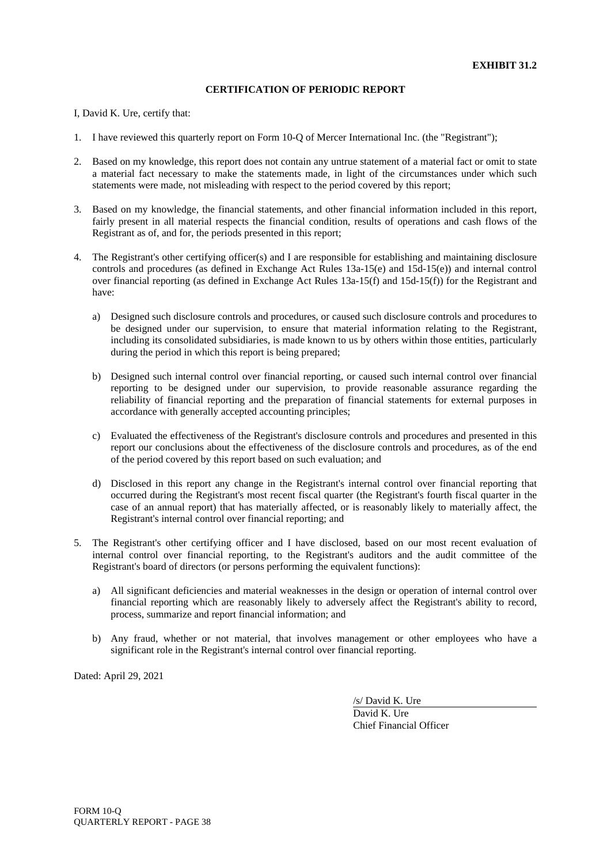I, David K. Ure, certify that:

- 1. I have reviewed this quarterly report on Form 10-Q of Mercer International Inc. (the "Registrant");
- 2. Based on my knowledge, this report does not contain any untrue statement of a material fact or omit to state a material fact necessary to make the statements made, in light of the circumstances under which such statements were made, not misleading with respect to the period covered by this report;
- 3. Based on my knowledge, the financial statements, and other financial information included in this report, fairly present in all material respects the financial condition, results of operations and cash flows of the Registrant as of, and for, the periods presented in this report;
- 4. The Registrant's other certifying officer(s) and I are responsible for establishing and maintaining disclosure controls and procedures (as defined in Exchange Act Rules 13a-15(e) and 15d-15(e)) and internal control over financial reporting (as defined in Exchange Act Rules 13a-15(f) and 15d-15(f)) for the Registrant and have:
	- a) Designed such disclosure controls and procedures, or caused such disclosure controls and procedures to be designed under our supervision, to ensure that material information relating to the Registrant, including its consolidated subsidiaries, is made known to us by others within those entities, particularly during the period in which this report is being prepared;
	- b) Designed such internal control over financial reporting, or caused such internal control over financial reporting to be designed under our supervision, to provide reasonable assurance regarding the reliability of financial reporting and the preparation of financial statements for external purposes in accordance with generally accepted accounting principles;
	- c) Evaluated the effectiveness of the Registrant's disclosure controls and procedures and presented in this report our conclusions about the effectiveness of the disclosure controls and procedures, as of the end of the period covered by this report based on such evaluation; and
	- d) Disclosed in this report any change in the Registrant's internal control over financial reporting that occurred during the Registrant's most recent fiscal quarter (the Registrant's fourth fiscal quarter in the case of an annual report) that has materially affected, or is reasonably likely to materially affect, the Registrant's internal control over financial reporting; and
- 5. The Registrant's other certifying officer and I have disclosed, based on our most recent evaluation of internal control over financial reporting, to the Registrant's auditors and the audit committee of the Registrant's board of directors (or persons performing the equivalent functions):
	- a) All significant deficiencies and material weaknesses in the design or operation of internal control over financial reporting which are reasonably likely to adversely affect the Registrant's ability to record, process, summarize and report financial information; and
	- b) Any fraud, whether or not material, that involves management or other employees who have a significant role in the Registrant's internal control over financial reporting.

Dated: April 29, 2021

/s/ David K. Ure

David K. Ure Chief Financial Officer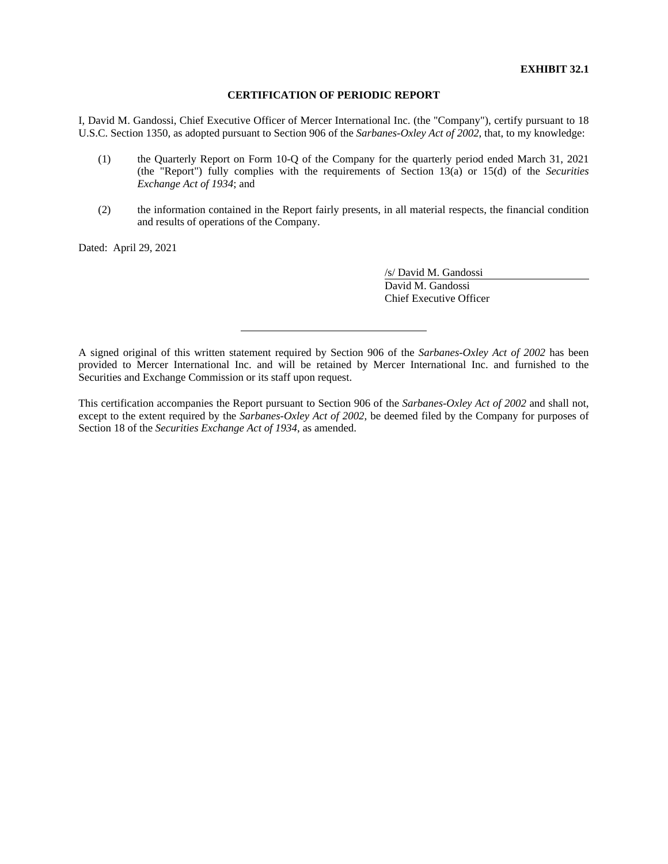I, David M. Gandossi, Chief Executive Officer of Mercer International Inc. (the "Company"), certify pursuant to 18 U.S.C. Section 1350, as adopted pursuant to Section 906 of the *Sarbanes-Oxley Act of 2002*, that, to my knowledge:

- (1) the Quarterly Report on Form 10-Q of the Company for the quarterly period ended March 31, 2021 (the "Report") fully complies with the requirements of Section 13(a) or 15(d) of the *Securities Exchange Act of 1934*; and
- (2) the information contained in the Report fairly presents, in all material respects, the financial condition and results of operations of the Company.

Dated: April 29, 2021

/s/ David M. Gandossi David M. Gandossi Chief Executive Officer

A signed original of this written statement required by Section 906 of the *Sarbanes-Oxley Act of 2002* has been provided to Mercer International Inc. and will be retained by Mercer International Inc. and furnished to the Securities and Exchange Commission or its staff upon request.

This certification accompanies the Report pursuant to Section 906 of the *Sarbanes-Oxley Act of 2002* and shall not, except to the extent required by the *Sarbanes-Oxley Act of 2002*, be deemed filed by the Company for purposes of Section 18 of the *Securities Exchange Act of 1934*, as amended.